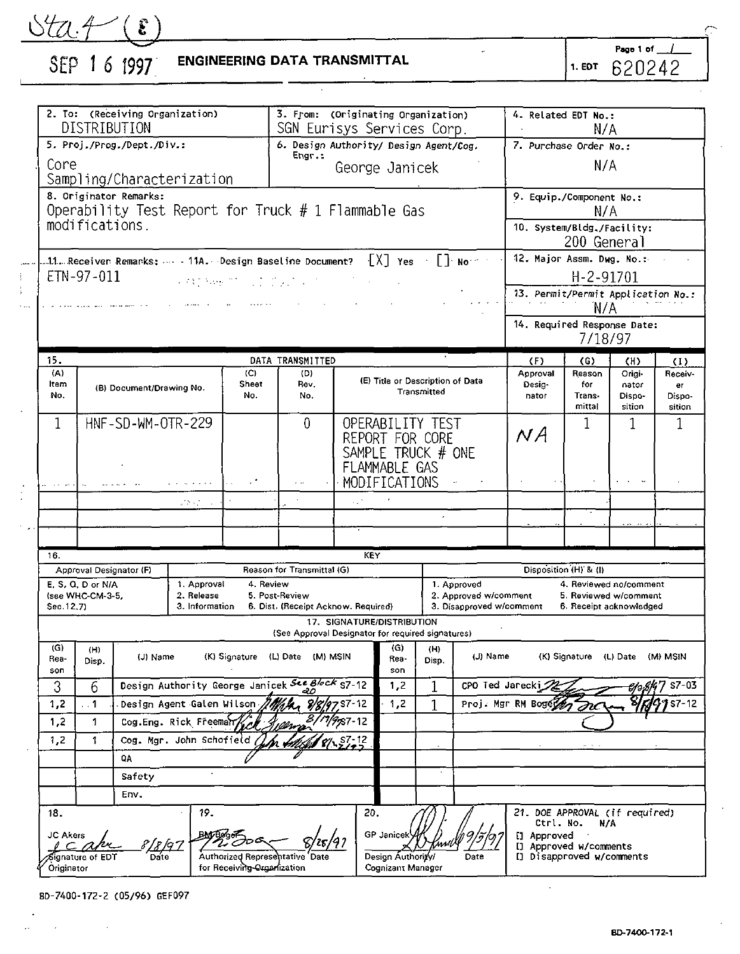<u>Uta.4 (8)</u><br>SEP 16 1997

# **ENGINEERING DATA TRANSMITTAL**

Page 1 of  $\overline{\phantom{0}}$  $1.507$  620242

|                                                     | 2. To: (Receiving Organization)<br>DISTRIBUTION                                 |                            |                                                           |                            |                                                       |               | 3. From: (Originating Organization)<br>SGN Eurisys Services Corp.                          |                  |                                                                  | 4. Related EDT No.:<br>N/A                                         |                                   |                                                                            |                                   |
|-----------------------------------------------------|---------------------------------------------------------------------------------|----------------------------|-----------------------------------------------------------|----------------------------|-------------------------------------------------------|---------------|--------------------------------------------------------------------------------------------|------------------|------------------------------------------------------------------|--------------------------------------------------------------------|-----------------------------------|----------------------------------------------------------------------------|-----------------------------------|
|                                                     |                                                                                 | 5. Proj./Prog./Dept./Div.: |                                                           |                            | 6. Design Authority/ Design Agent/Cog.                |               |                                                                                            |                  |                                                                  | 7. Purchase Order No.:                                             |                                   |                                                                            |                                   |
| Core                                                | Sampling/Characterization                                                       |                            |                                                           |                            | Engr.:<br>N/A<br>George Janicek                       |               |                                                                                            |                  |                                                                  |                                                                    |                                   |                                                                            |                                   |
|                                                     | 8. Originator Remarks:<br>Operability Test Report for Truck $# 1$ Flammable Gas |                            |                                                           |                            |                                                       |               |                                                                                            |                  |                                                                  | 9. Equip./Component No.:                                           | N/A                               |                                                                            |                                   |
| modifications.                                      |                                                                                 |                            |                                                           |                            |                                                       |               |                                                                                            |                  |                                                                  | 10. System/Bldg./Facility:                                         | 200 General                       |                                                                            |                                   |
| ETN-97-011                                          |                                                                                 |                            |                                                           | Continues through the the  |                                                       |               |                                                                                            |                  |                                                                  | 12. Major Assm. Dwg. No.:                                          | H-2-91701                         |                                                                            |                                   |
|                                                     |                                                                                 |                            |                                                           |                            |                                                       |               |                                                                                            |                  |                                                                  | 13. Permit/Permit Application No.:                                 | `N/A                              |                                                                            |                                   |
|                                                     |                                                                                 |                            |                                                           |                            |                                                       |               |                                                                                            |                  |                                                                  | 14. Required Response Date:                                        | 7/18/97                           |                                                                            |                                   |
| 15.                                                 |                                                                                 |                            |                                                           |                            | DATA TRANSMITTED                                      |               |                                                                                            |                  |                                                                  | (F)                                                                | (G)                               | (H)                                                                        | $\left(1\right)$                  |
| (A)<br>Item<br>No.                                  |                                                                                 | (B) Document/Drawing No.   |                                                           | (C)<br>Sheet<br>No.        | (D)<br>Rev.<br>No.                                    |               | (E) Title or Description of Data                                                           | Transmitted      |                                                                  | Approval<br>Desig-<br>nator                                        | Reason<br>for<br>Trans-<br>mittal | Origi-<br>nator<br>Dispo-<br>sition                                        | Receiv-<br>er<br>Dispo-<br>sition |
| 1                                                   | HNF-SD-WM-OTR-229                                                               |                            |                                                           | 0                          |                                                       |               | OPERABILITY TEST<br>1<br>1<br>ΝA<br>REPORT FOR CORE<br>SAMPLE TRUCK # ONE<br>FLAMMABLE GAS |                  |                                                                  | 1                                                                  |                                   |                                                                            |                                   |
|                                                     |                                                                                 |                            | والمتواصل والمرابي                                        |                            |                                                       | MODIFICATIONS |                                                                                            |                  |                                                                  |                                                                    |                                   |                                                                            |                                   |
|                                                     |                                                                                 |                            | 2892.00                                                   |                            |                                                       | k.            |                                                                                            |                  |                                                                  |                                                                    |                                   |                                                                            |                                   |
|                                                     |                                                                                 |                            |                                                           |                            |                                                       |               |                                                                                            |                  |                                                                  |                                                                    |                                   |                                                                            |                                   |
|                                                     |                                                                                 |                            |                                                           |                            |                                                       |               |                                                                                            |                  |                                                                  |                                                                    |                                   |                                                                            |                                   |
| 16.                                                 |                                                                                 |                            |                                                           |                            |                                                       | KEY           |                                                                                            |                  |                                                                  |                                                                    |                                   |                                                                            |                                   |
| Approval Designator (F)                             |                                                                                 |                            |                                                           |                            | Reason for Transmittal (G)                            |               |                                                                                            |                  |                                                                  | Disposition (H) & (I)                                              |                                   |                                                                            |                                   |
| E. S. Q. D or N/A<br>(see WHC-CM-3-5,<br>Sec. 12,7) |                                                                                 |                            | 1. Approval<br>2. Release<br>3. Information               | 4. Review                  | 5. Post-Review<br>6. Dist. (Receipt Acknow. Required) |               |                                                                                            |                  | 1. Approved<br>2. Approved w/comment<br>3. Disapproved w/comment |                                                                    |                                   | 4. Reviewed no/comment<br>5. Reviewed w/comment<br>6. Receipt acknowledged |                                   |
|                                                     |                                                                                 |                            |                                                           |                            | (See Approval Designator for required signatures)     |               | 17. SIGNATURE/DISTRIBUTION                                                                 |                  |                                                                  |                                                                    |                                   |                                                                            |                                   |
| (G)<br>Rea-<br>son                                  | (H)<br>Disp.                                                                    | (J) Name                   |                                                           |                            | (K) Signature (L) Date (M) MSIN                       |               | (G)<br>Rea-<br>son                                                                         | (H)<br>Disp.     | (J) Name                                                         |                                                                    |                                   | (K) Signature (L) Date (M) MSIN                                            |                                   |
| 3                                                   | 6                                                                               |                            | Design Authority George Janicek See Block 57-12           |                            |                                                       | 1,2           | 1                                                                                          | CPO Ted Jarecki∠ |                                                                  |                                                                    | Hə.                               |                                                                            |                                   |
| 1,2                                                 | $\ddot{\phantom{0}}$                                                            |                            | Design Agent Galen Wilson<br>Mar 8/8/97.57-12<br>1,2<br>1 |                            |                                                       |               | Proj. Mgr RM Boget<br>nc                                                                   |                  |                                                                  |                                                                    |                                   |                                                                            |                                   |
| 1,2                                                 | 1                                                                               |                            | 8/11/9 <sub>1</sub> 87-12<br>Cog.Eng. Rick Freeman        |                            |                                                       |               |                                                                                            |                  |                                                                  |                                                                    |                                   |                                                                            |                                   |
| 1.2                                                 | 1                                                                               |                            | Cog. Mar. John Schofield<br><b>A</b> S7-12                |                            |                                                       |               |                                                                                            |                  |                                                                  |                                                                    |                                   |                                                                            |                                   |
|                                                     |                                                                                 | QA                         |                                                           |                            |                                                       |               |                                                                                            |                  |                                                                  |                                                                    |                                   |                                                                            |                                   |
|                                                     | Safety                                                                          |                            |                                                           |                            |                                                       |               |                                                                                            |                  |                                                                  |                                                                    |                                   |                                                                            |                                   |
|                                                     |                                                                                 | Env.                       |                                                           |                            |                                                       |               |                                                                                            |                  |                                                                  |                                                                    |                                   |                                                                            |                                   |
| 18.                                                 |                                                                                 |                            | 19.                                                       |                            |                                                       | 20.           |                                                                                            |                  |                                                                  | 21. DOE APPROVAL (if required)<br>Ctrl. No.                        | N/A                               |                                                                            |                                   |
| JC Akers<br>ignature of EDT<br>Originator           |                                                                                 | Date                       |                                                           | for Receiving Organization | Authorized Representative Date                        |               | <b>GP</b> Janicek<br>Design Authority/<br>Cognizant Manager                                |                  | Date                                                             | [] Approved<br>[] Approved w/comments<br>[] Disapproved w/comments |                                   |                                                                            |                                   |

BD-7400-172-2 (05/96) GEF097  $\sim$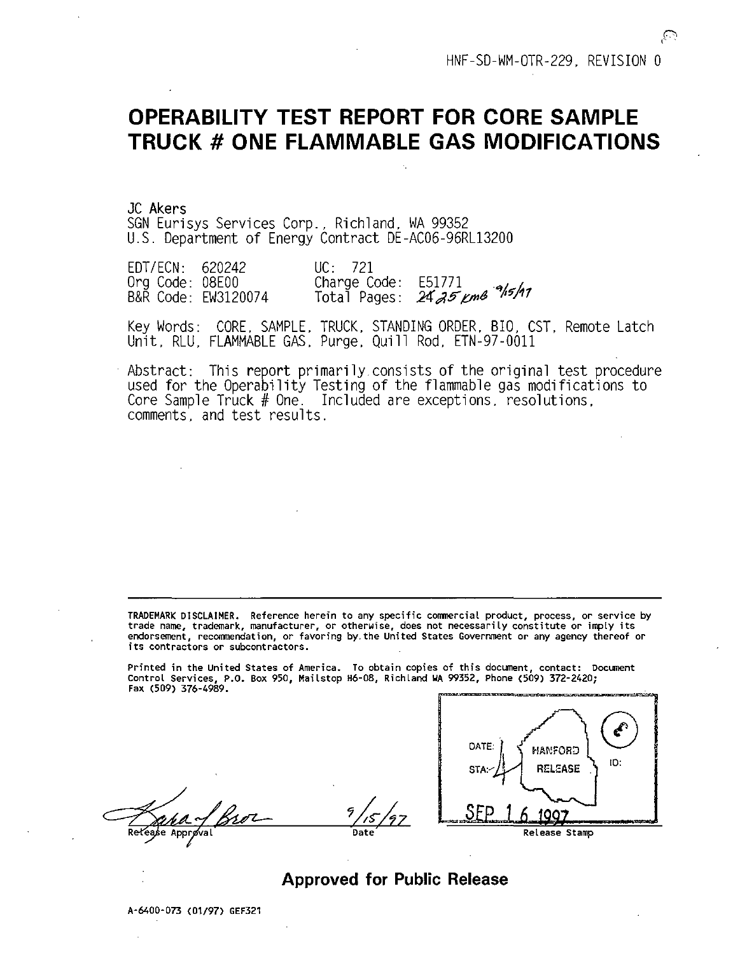# **OPERABILITY TEST REPORT FOR CORE SAMPLE TRUCK # ONE FLAMMABLE GAS MODIFICATIONS**

JC Akers SGN Eurisys Services Corp., Richland, WA 99352 U.S. Department of Energy Contract DE-AC06-96RL13200

EDT/ECN: 620242 Org Code: 08E00 B&R Code: EW3120074 UC: 721<br>Charge Code: E51771 Charge Code: 1517/1<br>Total Pages: 24*25 pmB <sup>9</sup>15/*17

Key Words: CORE, SAMPLE, TRUCK, STANDING ORDER. BIO, CST, Remote Latch Unit, RLU, FLAMMABLE GAS, Purge, Quill Rod, ETN-97-0011

Abstract: This report primarily.consists of the original test procedure used for the Operability Testing of the flammable gas modifications to Core Sample Truck # One. Included are exceptions, resolutions, comments, and test results.

TRADEMARK DISCLAIMER. Reference herein to any specific commercial product, process, or service by trade name, trademark, manufacturer, or otherwise, does not necessarily constitute or imply its endorsement, recommendation, or favoring by,the United States Government or any agency thereof or its contractors or subcontractors.

Printed in the United States of America. To obtain copies of this document, contact: Document Control Services, P.O. Box 950, Mailstop H6-08, Richland WA 99352, Phone (509) 372-2420; Fax (509) 376-4989.



## **Approved for Public Release**

A-6400-073 (01/97) GEF321

Re fease Apprøval /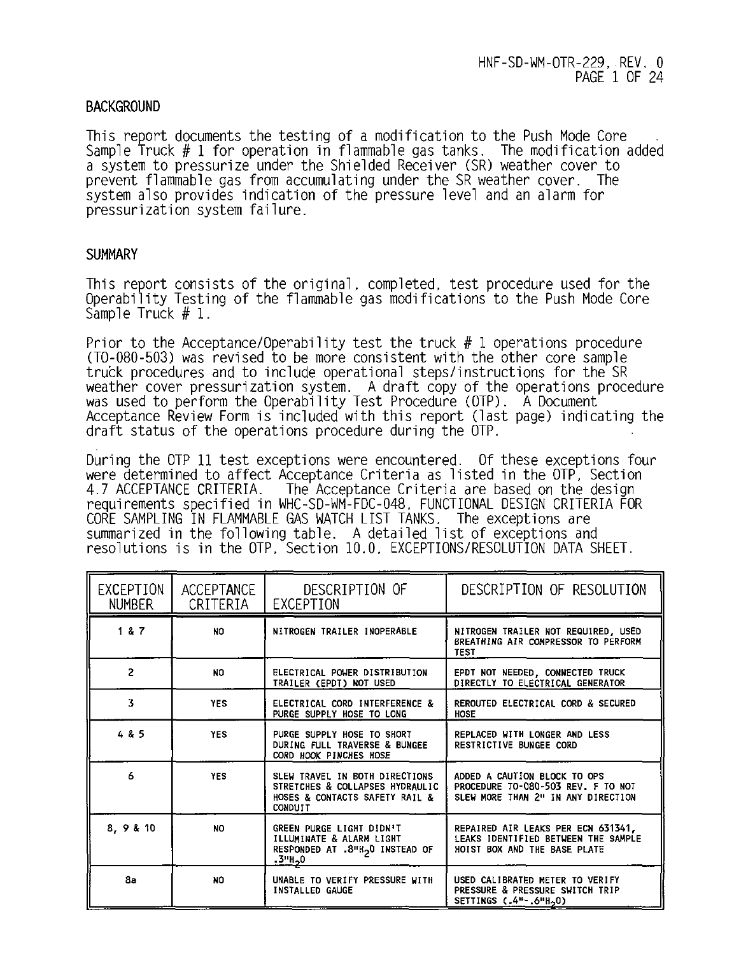## **BACKGROUND**

This report documents the testing of a modification to the Push Mode Core Sample Truck # 1 for operation in flammable gas tanks. The modification added a system to pressurize under the Shielded Receiver (SR) weather cover to prevent flammable gas from accumulating under the SR weather cover. The system also provides indication of the pressure level and an alarm for pressurization system failure.

## **SUMMARY**

This report consists of the original, completed, test procedure used for the Operability Testing of the flammable gas modifications to the Push Mode Core Sample Truck # 1.

Prior to the Acceptance/Operability test the truck  $# 1$  operations procedure (TO-080-503) was revised to be more consistent with the other core sample truck procedures and to include operational steps/instructions for the SR weather cover pressurization system. A draft copy of the operations procedure was used to perform the Operability Test Procedure (OTP). A Document Acceptance Review Form is included with this report (last page) indicating the draft status of the operations procedure during the OTP.

During the OTP 11 test exceptions were encountered. Of these exceptions four were determined to affect Acceptance Criteria as listed in the OTP, Section<br>4.7 ACCEPTANCE CRITERIA. The Acceptance Criteria are based on the design The Acceptance Criteria are based on the design requirements specified in WHC-SD-WM-FDC-048. FUNCTIONAL DESIGN CRITERIA FOR CORE SAMPLING IN FLAMMABLE GAS WATCH LIST TANKS. The exceptions are summarized in the following table. A detailed list of exceptions and resolutions is in the OTP, Section 10.0, EXCEPTIONS/RESOLUTION DATA SHEET.

| EXCEPTION<br><b>NUMBER</b> | ACCEPTANCE<br>CRITERIA | DESCRIPTION OF<br>EXCEPTION                                                                                           | DESCRIPTION OF RESOLUTION                                                                                 |
|----------------------------|------------------------|-----------------------------------------------------------------------------------------------------------------------|-----------------------------------------------------------------------------------------------------------|
| 187                        | NO.                    | NITROGEN TRAILER INOPERABLE                                                                                           | NITROGEN TRAILER NOT REQUIRED, USED<br>BREATHING AIR COMPRESSOR TO PERFORM<br><b>TEST</b>                 |
| $\overline{2}$             | NO.                    | ELECTRICAL POWER DISTRIBUTION<br>TRAILER (EPDT) NOT USED                                                              | EPDT NOT NEEDED, CONNECTED TRUCK<br>DIRECTLY TO ELECTRICAL GENERATOR                                      |
| 3                          | <b>YES</b>             | ELECTRICAL CORD INTERFERENCE &<br>PURGE SUPPLY HOSE TO LONG                                                           | REROUTED ELECTRICAL CORD & SECURED<br>HOSE                                                                |
| 4 & 5                      | <b>YES</b>             | PURGE SUPPLY HOSE TO SHORT<br>DURING FULL TRAVERSE & BUNGEE<br>CORD HOOK PINCHES HOSE                                 | REPLACED WITH LONGER AND LESS<br>RESTRICTIVE BUNGEE CORD                                                  |
| 6                          | <b>YES</b>             | SLEW TRAVEL IN BOTH DIRECTIONS<br>STRETCHES & COLLAPSES HYDRAULIC<br>HOSES & CONTACTS SAFETY RAIL &<br><b>CONDUIT</b> | ADDED A CAUTION BLOCK TO OPS<br>PROCEDURE TO-080-503 REV. F TO NOT<br>SLEW MORE THAN 2" IN ANY DIRECTION  |
| 8, 9 & 10                  | NO.                    | GREEN PURGE LIGHT DIDN'T<br>ILLUMINATE & ALARM LIGHT<br>RESPONDED AT .8"H <sub>2</sub> 0 INSTEAD OF<br>.3"h,0         | REPAIRED AIR LEAKS PER ECN 631341,<br>LEAKS IDENTIFIED BETWEEN THE SAMPLE<br>HOIST BOX AND THE BASE PLATE |
| 8a                         | NO.                    | UNABLE TO VERIFY PRESSURE WITH<br><b>INSTALLED GAUGE</b>                                                              | USED CALIBRATED METER TO VERIFY<br>PRESSURE & PRESSURE SWITCH TRIP<br>SETTINGS (.4"-.6"H <sub>2</sub> 0)  |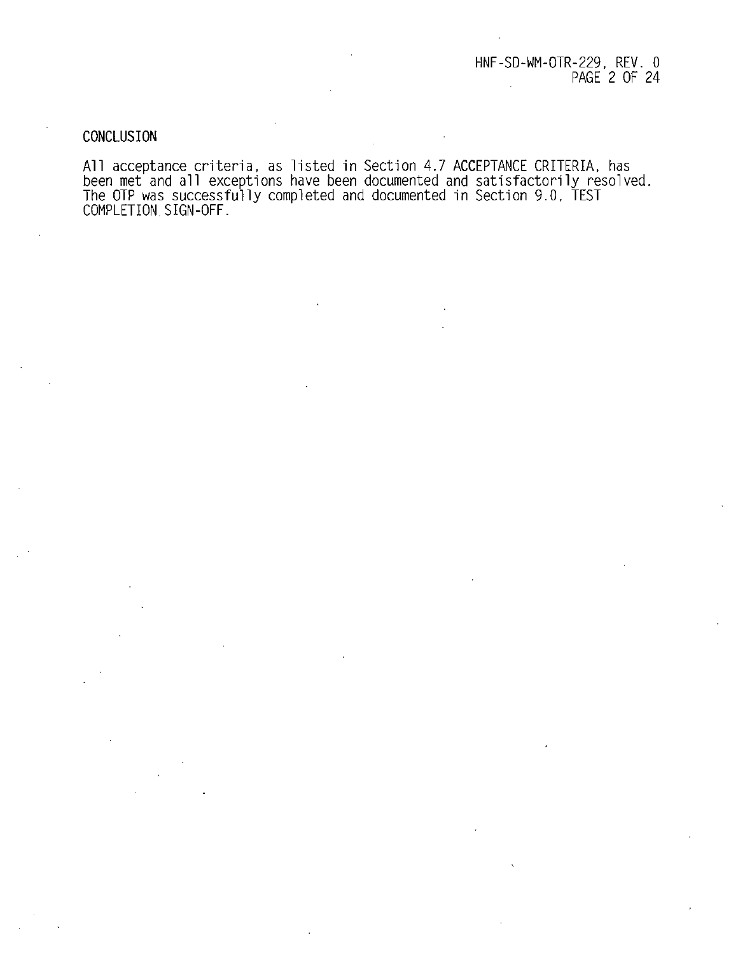## CONCLUSION

All acceptance criteria, as listed in Section 4./ ACCEPIANCE CRITERIA, has<br>been met and all exceptions have been documented and satisfactorily resolved.<br>The OTP was successfully completed and documented in Section 9.0, TES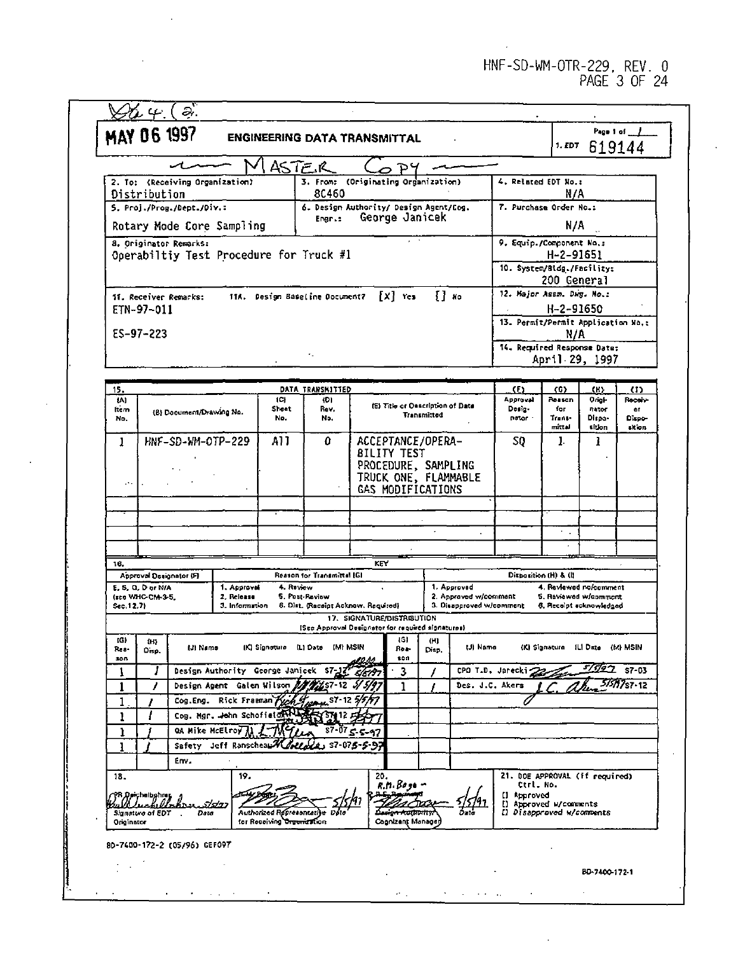|                   | <b>MAY 06 1997</b>                    |                                 |                              |                            |                                            | <b>ENGINEERING DATA TRANSMITTAL</b>                                             |                                      |                                                     | 1. EDT                                          |                       | Page 1 of 1<br>619144 |
|-------------------|---------------------------------------|---------------------------------|------------------------------|----------------------------|--------------------------------------------|---------------------------------------------------------------------------------|--------------------------------------|-----------------------------------------------------|-------------------------------------------------|-----------------------|-----------------------|
|                   |                                       |                                 |                              | ASTE R                     |                                            |                                                                                 |                                      |                                                     |                                                 |                       |                       |
|                   | Distribution                          | 2. To: (Receiving Organization) |                              |                            | 3. From:<br>80460                          | (Originating Organization)                                                      |                                      | 4. Related EDT No.:                                 | N/A                                             |                       |                       |
|                   |                                       | 5. Proj./Prog./Dept./Div.:      |                              |                            |                                            | 6. Design Authority/ Design Agent/Cog.<br>George Janicek                        |                                      | 7. Purchase Order No.:                              |                                                 |                       |                       |
|                   |                                       |                                 | Rotary Mode Core Sampling    |                            | Engr.:                                     |                                                                                 |                                      |                                                     | N/A                                             |                       |                       |
|                   |                                       | 8. Originator Remarks:          |                              |                            |                                            |                                                                                 |                                      | 9. Equip./Component No.:                            |                                                 |                       |                       |
|                   |                                       |                                 |                              |                            | Operabiltiy Test Procedure for Truck #1    |                                                                                 |                                      | 10. System/Bldg./Facility:                          | H-2-91651                                       |                       |                       |
|                   |                                       |                                 |                              |                            |                                            |                                                                                 |                                      |                                                     | 200 General                                     |                       |                       |
|                   |                                       | 11. Receiver Remarks:           |                              |                            | 11A. Design Baseline Document?             | $[x]$ res                                                                       | {] ко                                | 12. Major Assm. Dwg. No.:                           |                                                 |                       |                       |
|                   | ETN-97-011                            |                                 |                              |                            |                                            |                                                                                 |                                      | 13. Permit/Permit Application No.:                  | H-2-91650                                       |                       |                       |
|                   | $ES-97-223$                           |                                 |                              |                            |                                            |                                                                                 |                                      |                                                     | N/A                                             |                       |                       |
|                   |                                       |                                 |                              |                            |                                            |                                                                                 |                                      | 14. Required Response Date:                         |                                                 |                       |                       |
|                   |                                       |                                 |                              |                            |                                            |                                                                                 |                                      |                                                     | April 29, 1997                                  |                       |                       |
| 15.               |                                       |                                 |                              |                            | DATA TRANSMITTED                           |                                                                                 |                                      | Œ)                                                  | 365                                             | (K)                   | (1)                   |
| $\overline{141}$  |                                       |                                 |                              | ${C}$<br>Sheet             | (D)<br>Rev.                                | (E) Title or Description of Date                                                |                                      | Approval<br>Desig-                                  | Reason<br>for                                   | Origi-<br>nator       | Roceiv<br><b>or</b>   |
| ftem<br>No.       |                                       | (B) Document/Drawing No.        |                              | No.                        | No.                                        |                                                                                 | Transmitted                          | nator -                                             | Trans-<br>mittel                                | Dispa-<br>sidon       | Dispo-                |
| 1                 |                                       | HNF-SD-WM-OTP-229               |                              | A11                        | 0                                          | ACCEPTANCE/OPERA-                                                               |                                      | SQ.                                                 | 1.                                              | ı                     | skion                 |
|                   |                                       |                                 |                              |                            |                                            | <b>BILITY TEST</b>                                                              |                                      |                                                     |                                                 |                       |                       |
|                   |                                       |                                 |                              |                            |                                            | PROCEDURE, SAMPLING                                                             |                                      |                                                     |                                                 |                       |                       |
|                   |                                       |                                 |                              |                            |                                            | TRUCK ONE, FLAMMABLE<br>GAS MODIFICATIONS                                       |                                      |                                                     |                                                 |                       |                       |
|                   |                                       |                                 |                              |                            |                                            |                                                                                 |                                      |                                                     |                                                 |                       |                       |
|                   |                                       |                                 |                              |                            |                                            |                                                                                 |                                      |                                                     |                                                 |                       |                       |
|                   |                                       |                                 |                              |                            |                                            |                                                                                 |                                      |                                                     | κ,                                              |                       |                       |
| 16.               |                                       |                                 |                              |                            |                                            | KEY                                                                             |                                      |                                                     |                                                 |                       |                       |
|                   |                                       | Approval Designator (F)         |                              |                            | Reason for Transmittal (G)                 |                                                                                 |                                      |                                                     | Disposition (H) & (I)                           |                       |                       |
|                   | E. S. Q. D or N/A<br>(see WHC-CM-3-5, |                                 | 1. Approval<br>2. Release    | 4. Review                  | 5. Post-Raview                             |                                                                                 | 1. Approved<br>2. Approved w/commant |                                                     | 4. Reviewed no/comment<br>5. Raviewed w/comment |                       |                       |
| Sec. 12.7)        |                                       |                                 | 3. Information               |                            |                                            | 6. Dist. (Receipt Acknow. Required)                                             | 3. Disapproved w/comment             |                                                     | 6. Receipt ecknowledged                         |                       |                       |
|                   |                                       |                                 |                              |                            |                                            | 17. SIGNATURE/DISTRIBUTION<br>(See Approval Designator for required signatures) |                                      |                                                     |                                                 |                       |                       |
| (G)<br>Rea<br>300 | $0 - 5$<br>Disp.                      | <b>LB Name</b>                  |                              |                            | IKI Signature (L) Date (M) MSIN            | (6)<br>Roa<br>son                                                               | (11)<br>Disp.                        | (J) Name                                            | (K) Signature 1L1 Date (M) MSIN                 |                       |                       |
| 1                 | J                                     |                                 |                              |                            | Design Authority George Janicek S7-12      | 3                                                                               |                                      | CPO T.D. Jarecki                                    |                                                 | $\frac{5}{192}$ s7-03 |                       |
| 1                 |                                       |                                 |                              |                            | Design Agent Galen Wilson 200257-12 5/5/97 | 1                                                                               |                                      | Des. J.C. Akers                                     |                                                 |                       | <i>5151</i> 17s7-12   |
| 1                 |                                       |                                 | Cog. Mgr. John Schofieton HA |                            | Cog. Eng. Rick Framan Pych Lyons S7-12 5/5 |                                                                                 |                                      |                                                     |                                                 |                       |                       |
| ı<br>ı            |                                       |                                 | QA Mike McElroy (            |                            |                                            | $57 - 075 - 5 - 97$                                                             |                                      |                                                     |                                                 |                       |                       |
| ı                 |                                       | Safety                          |                              |                            | Jeff Ranscheau Wolledge S7-075-5-9         |                                                                                 |                                      |                                                     |                                                 |                       |                       |
|                   |                                       | Em.                             |                              |                            |                                            |                                                                                 |                                      |                                                     |                                                 |                       |                       |
| 18.               |                                       |                                 | 19.                          |                            |                                            | 20,<br>$R.11.80 - 10$                                                           |                                      | 21. DOE APPROVAL (if required)<br>Ctrl. No.         |                                                 |                       |                       |
|                   | PR Deichelbehrer<br>Ball Lechellohrer |                                 |                              |                            |                                            |                                                                                 |                                      | [] Approved                                         |                                                 |                       |                       |
| Originator        | Signature of EDT                      | Date                            | 5/5/27                       | for Receiving Organization | Authorized Representative Dete             | <del>-kathority</del><br>Cognizent Manage                                       |                                      | [] Approved u/comments<br>[] Disapproved w/comments |                                                 |                       |                       |
|                   |                                       | 80-7400-172-2 (05/96) GEFOP7    |                              |                            |                                            |                                                                                 |                                      |                                                     |                                                 |                       |                       |
|                   |                                       |                                 |                              |                            |                                            |                                                                                 |                                      |                                                     |                                                 |                       |                       |
|                   |                                       |                                 |                              |                            |                                            |                                                                                 |                                      |                                                     |                                                 | BD-7400-172-1         |                       |

÷.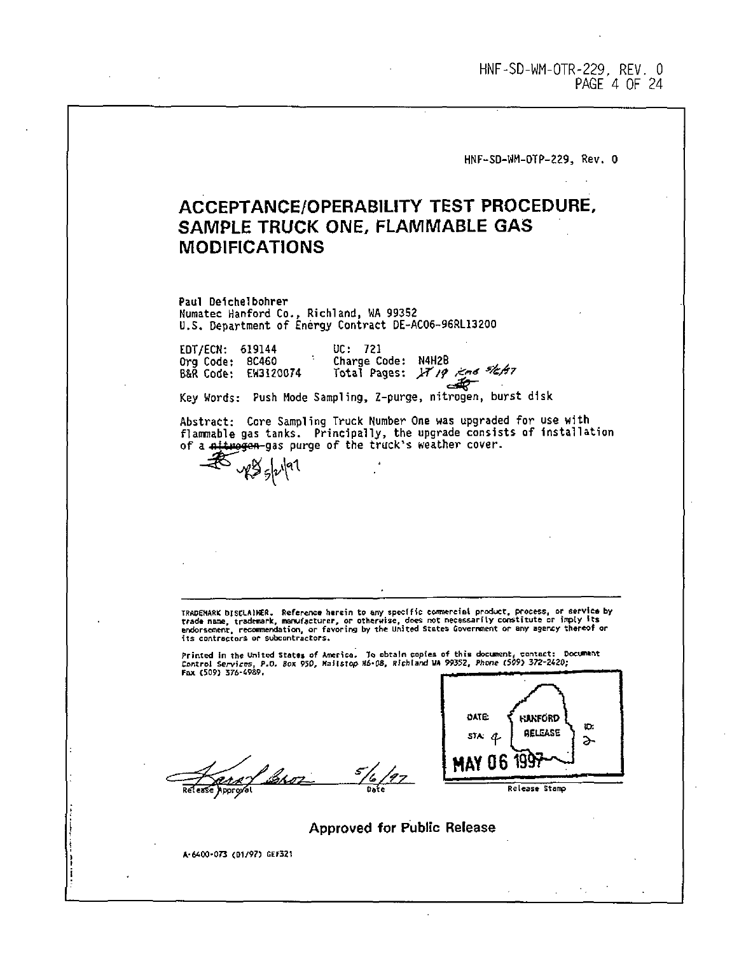HNF-SD-WM-OTR-229, REV. 0 PAGE 4 OF 24

**HNF-SD-WM-OTP-229, Rev. 0**

# ACCEPTANCE/OPERABILITY TEST PROCEDURE, SAMPLE TRUCK ONE, FLAMMABLE GAS MODIFICATIONS

**Paul Deichelbohrer Numatec Hanford Co., Richland, VIA 99352 U.S. Department of Energy Contract DE-AC06-96RL13200**

**EDT/ECN: 619144 Org Code: 8C460 B8R Code: EW3120074 UC: 721 Charge Code: N4H2B** Total Pages: IT 19 , and sleft?

**Key Words: Push Mode Sampling, Z-purge, nitrogen, burst disk**

**Abstract: Core Sampling Truck Number One was upgraded for use with flammable gas tanks. Principally, the upgrade consists of Installation of a nifarojon gas purge of the truck's weather cover.**

TRADENARK DiscLAINER. Reference herein to any specific commercial product, process, or service by<br>trade name, trademark, manufacturer, or otherwise, does not necessarily constitute or imply its<br>endorsement, recommendation,

Printed in the United States of America. To obtain copies of this document, contact: D<br>Control Services, P.O. Box 950, Mailstop M6\*08, Richland MA 99352, Phone (509) 372-2420;<br>Fax (509) 376-4989.

 $^{5}/$ 6/97

yes <sub>sl</sub>ulal



**Approved for Public Release**

**A-WOO-073 (01/9?) GEF321**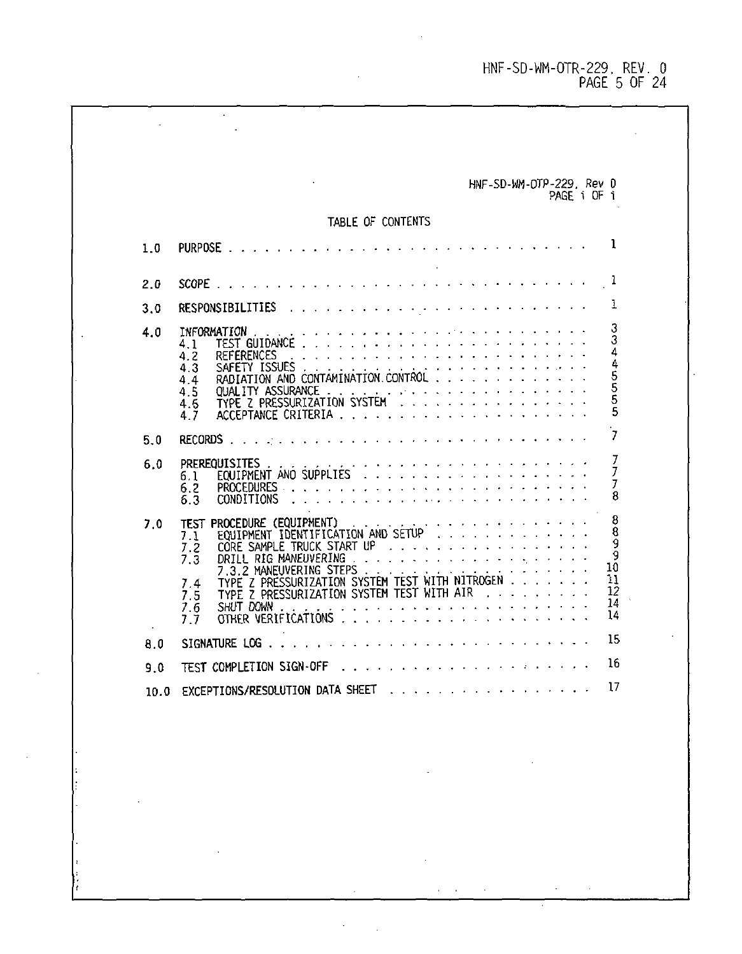HNF-SD-WM-OTR-229, REV. 0 PAGE 5 OF 24

| TABLE OF CONTENTS<br>المستحدث والمستحدث والمستحدث والمستحدث والمستحدث والمستحدث والمناور<br>SCOPE.<br>المتحاج والمتحاج والمتحاج والمتحال والمتواطئ والوالو والوالواني<br>INFORMATION<br>4.1<br>المتعاط والمتعاط والمتعاط والمتعاط والمتعاط والمتعاط والمتعاط والمتاري<br>4.2<br><b>REFERENCES</b><br>والمتعرف والمستحيل والمستحيل والمستحيل والمسترد والمستحيل والمستحيل<br>4.3<br>SAFETY ISSUES<br>RADIATION AND CONTAMINATION CONTROL<br>4.4<br>4.5<br>TYPE Z PRESSURIZATION SYSTEM<br>4.6<br>4.7<br>RECORDS.<br>والمتعاونة والمتعاونة والمتعاونة والمتعاونة والمتعاونة والمتعاونة<br>PREREQUISITES<br>6.1<br>6.2<br>CONDITIONS<br>6.3<br>المتحافظ فالمتحافظ والمتحاف والمرور والمتحاول<br>Procedure (Equipment)<br>7.0<br>test<br>EQUIPMENT IDENTIFICATION AND SETUP<br>7.1<br>CORE SAMPLE TRUCK START UP<br>7.2<br>DRILL RIG MANEUVERING<br>$7.\bar{3}$ |     | HNF-SD-WM-DTP-229, Rev 0<br>PAGE i OF i        |
|-------------------------------------------------------------------------------------------------------------------------------------------------------------------------------------------------------------------------------------------------------------------------------------------------------------------------------------------------------------------------------------------------------------------------------------------------------------------------------------------------------------------------------------------------------------------------------------------------------------------------------------------------------------------------------------------------------------------------------------------------------------------------------------------------------------------------------------------------------------|-----|------------------------------------------------|
|                                                                                                                                                                                                                                                                                                                                                                                                                                                                                                                                                                                                                                                                                                                                                                                                                                                             |     |                                                |
|                                                                                                                                                                                                                                                                                                                                                                                                                                                                                                                                                                                                                                                                                                                                                                                                                                                             | 1.0 | 1                                              |
| 3.0<br>4.0<br>5.0<br>6.0                                                                                                                                                                                                                                                                                                                                                                                                                                                                                                                                                                                                                                                                                                                                                                                                                                    | 2.0 | 1                                              |
|                                                                                                                                                                                                                                                                                                                                                                                                                                                                                                                                                                                                                                                                                                                                                                                                                                                             |     | ı                                              |
|                                                                                                                                                                                                                                                                                                                                                                                                                                                                                                                                                                                                                                                                                                                                                                                                                                                             |     | 3<br>3<br>445555<br>5                          |
|                                                                                                                                                                                                                                                                                                                                                                                                                                                                                                                                                                                                                                                                                                                                                                                                                                                             |     | 7                                              |
|                                                                                                                                                                                                                                                                                                                                                                                                                                                                                                                                                                                                                                                                                                                                                                                                                                                             |     | 7<br>7<br>7<br>8                               |
| TYPE Z PRESSURIZATION SYSTEM TEST WITH NITROGEN<br>7.4<br>and the state of the state of the<br>TYPE Z PRESSURIZATION SYSTEM TEST WITH AIR<br>7.5<br>والمستحدث والمستحدث والمستحدث والمستور والمستور والمناد<br>SHUT DOWN<br>7.6<br>OTHER VERIFICATIONS<br>7.7                                                                                                                                                                                                                                                                                                                                                                                                                                                                                                                                                                                               |     | 8<br>8<br>9<br>9<br>10<br>11<br>12<br>14<br>14 |
| SIGNATURE LOG<br>8.0                                                                                                                                                                                                                                                                                                                                                                                                                                                                                                                                                                                                                                                                                                                                                                                                                                        |     | 15                                             |
| والمستحدث والمستناد المستوان والمستوان والمستناة<br>TEST COMPLETION SIGN-OFF<br>9.0                                                                                                                                                                                                                                                                                                                                                                                                                                                                                                                                                                                                                                                                                                                                                                         |     | 16<br>EXCEPTIONS/RESOLUTION DATA SHEET         |

 $\bar{z}$ 

 $\sim$ 

 $\mathcal{L}^{\text{max}}(\mathcal{F})$  , where  $\mathcal{L}^{\text{max}}$ 

 $\sim$ 

 $\mathcal{L}^{\mathcal{L}}(\mathcal{A})$  ,  $\mathcal{L}^{\mathcal{L}}(\mathcal{A})$  , and

 $\sim$  $\bar{z}$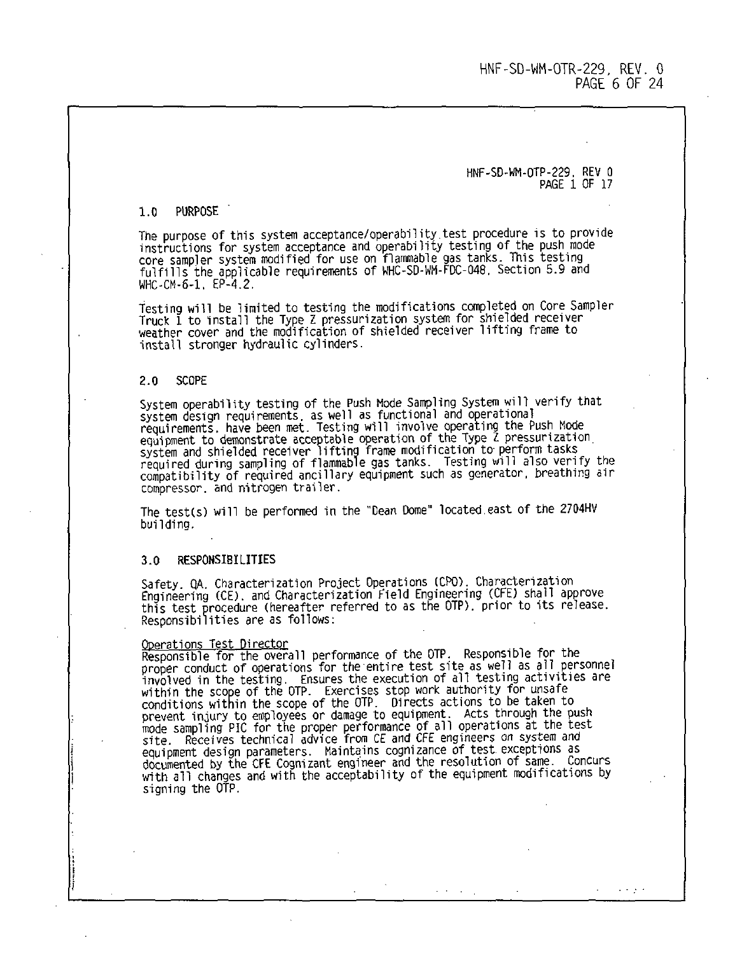HNF-SD-WM-OTP-229. REV 0 PAGE 1 OF 17

#### 1.0 PURPOSE

The purpose of this system acceptance/operability.test procedure is to provide instructions for system acceptance and operability testing of the push mode core sampler system modified for use on flammable gas tanks. This testing fulfills the applicable requirements of WHC-SD-WM-FDC-048. Section 5.9 and WHC-CM-6-1. **EP-4.2** 

Testing will be limited to testing the modifications completed on Core Sampler Truck 1 to install the Type Z pressurization system for shielded receiver weather cover and the modification of shielded receiver lifting frame to install stronger hydraulic cylinders.

#### 2.0 SCOPE

System operability testing of the Push Mode Sampling System will verify that system design requirements, as well as functional and operational requirements, have been met. Testing will involve operating the Push Mode equipment to demonstrate acceptable operation of the Type Z pressurization<br>system and shielded receiver lifting frame modification to perform tasks<br>required during sampling of flammable gas tanks. Testing will also verify compatibility of required ancillary equipment such as generator, breathing air compressor, and nitrogen trailer.

The test(s) will be performed in the "Dean Dome" located east of the 2704HV building.

#### 3.0 RESPONSIBILITIES

Safety, QA, Characterization Project Operations (CPO). Characterization Engineering (CE). and Characterization field Engineering (CFE) shall approve this test procedure (hereafter referred to as the OTP). prior to its release. Responsibilities are as follows:

Operations Test Director Responsible for the overall performance of the OTP. Responsible for the proper conduct of operations for the entire test site as well as all personnel involved in the testing. Ensures the execution of all testing activities are within the scope of the OTP. Exercises stop work authority for unsafe conditions within the scope of the OIP. Directs actions to be taken to<br>prevent injury to employees or damage to equipment. Acts through the push<br>mode sampling PIC for the proper performance of all operations at the test<br>si documented by the CFE Cognizant engineer and the resolution of same. Concurs with all changes and with the acceptability of the equipment modifications by signing the OTP.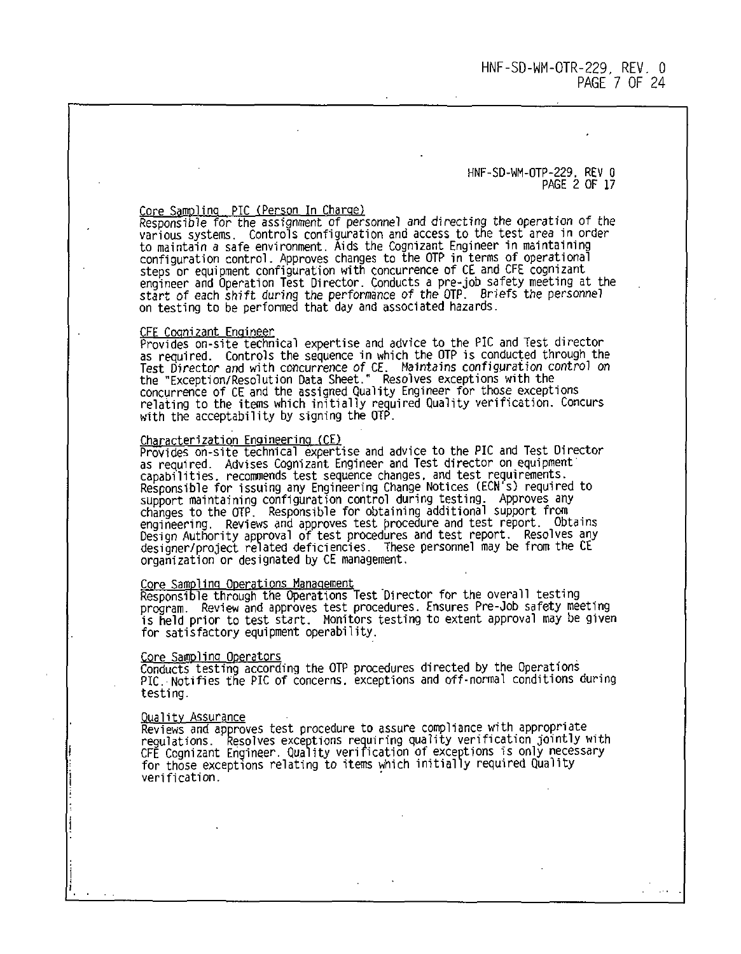HNF-SD-UM-OTP-229. REV 0  $PAGF$  2  $OF$  17

C<u>ore Sampling "PTC (Person In Charge)</u><br>Responsible for the assignment of personnel and directing the operation of the various systems. Controls configuration and access to the test area in order to maintain a safe environment. Aids the Cognizant Engineer in maintaining configuration control. Approves changes to the OTP in terms of operational steps or equipment configuration with concurrence of CE and CFE cognizant engineer and Operation Test Director. Conducts a pre-job safety meeting at the<br>start of each shift during the performance of the OTP. Briefs the personnel<br>on testing to be performed that day and associated hazards.

CFE Cognizant Fngineer Provides on-site technical expertise and advice to the PIC and Test director as required. Controls the sequence in which the OTP is conducted through the Test Director and with concurrence of CE. Maintains configuration control on the "Exception/Resolution Data Sheet." Resolves exceptions with the concurrence of CE and the assigned Quality Engineer for those exceptions relating to the items which initially required Quality verification. Concurs with the acceptability by signing the OTP.

Characterization Engineering (CE) Provides on-site technical expertise and advice to the PIC and Test Director as required. Advises Cognizant Engineer and Test director on equipment capabilities, recommends test sequence changes, and test requirements. Responsible for issuing any Engineering Change Notices (ECN's) required to support maintaining configuration control during testing. Approves any changes to the OTP. Responsible for obtaining additional support from engineering. Reviews and approves test procedure and test report. Obtains Design Authority approval of test procedures and test report. Resolves any designer/project related deficiencies. These personnel may be from the CE organization or designated by CE management.

C<u>ore Sampling Operations Management</u><br>Responsible through the Operations Test Director for the overall testing program. Review and approves test procedures. Ensures Pre-job safety meeting is held prior to test start. Monitors testing to extent approval may be given for satisfactory equipment operability.

Core Sampling Operators Conducts testing according the OTP procedures directed by the Operations PIC. Notifies the PIC of concerns, exceptions and off-normal conditions during testing.

Quality Assurance Reviews and approves test procedure to assure compliance with appropriate regulations. Resolves exceptions requiring quality verification jointly with CFE Cognizant Engineer. Quality verification of exceptions is only necessary for those exceptions relating to items which initially required Quality verification.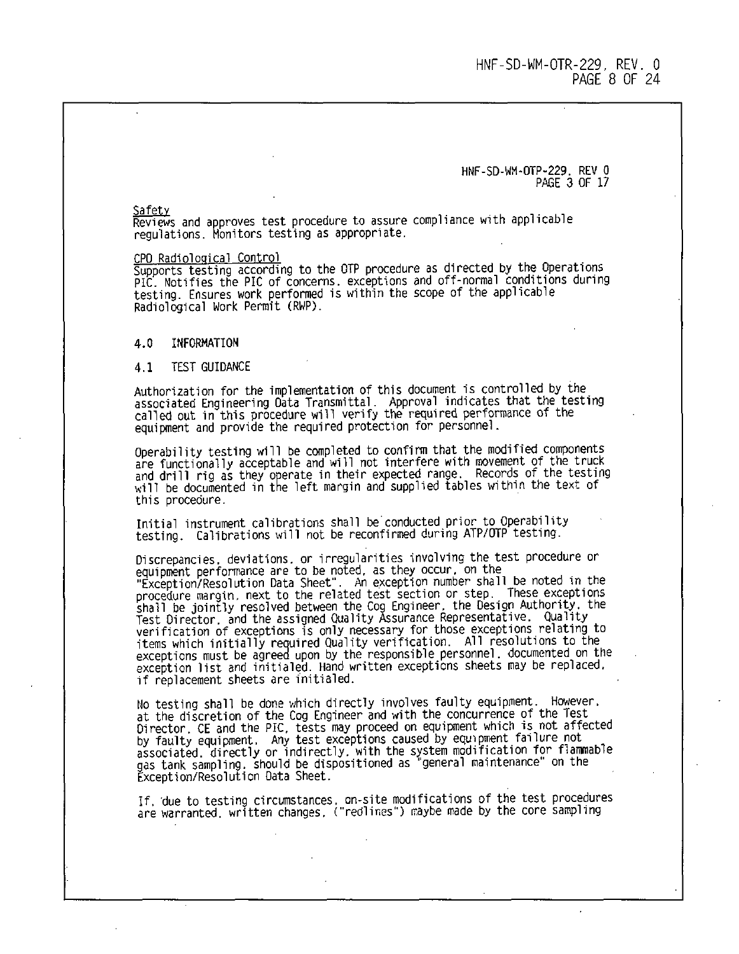HNF-SD-WM-OTP-229. REV 0 PAGE 3 OF 17

Reviews and approves test procedure to assure compliance with applicable regulations. Monitors testing as appropriate.

CPO Radiological Control

Supports testing according to the OTP procedure as directed by the Operations PIC. Notifies the PIC of concerns, exceptions and off-normal conditions during testing. Ensures work performed is within the scope of the applicable Radiological Work Permit (RWP).

### 4.0 INFORMATION

#### 4.1 TEST GUIDANCE

Authorization for the implementation of this document is controlled by the associated Engineering Data Transmittal. Approval indicates that the testing called out in this procedure will verify the required performance of the equipment and provide the required protection for personnel.

Operability testing will be completed to confirm that the modified components are functionally acceptable and will not interfere with movement of the truck and drill rig as they operate in their expected range. Records of the testing will be documented in the left margin and supplied tables within the text of this procedure.

Initial instrument calibrations shall be conducted prior to Operability testing. Calibrations will not be reconfirmed during ATP/OTP testing.

Discrepancies, deviations, or irregularities involving the test procedure or equipment performance are to be noted, as they occur, on the "Exception/ResolJtion Data Sheet". An exception number shall be noted in the procedure margin, next to the related test section or step. These exceptions shall be jointly resolved between the Cog Engineer, the Design Authority, the Test Director, and the assigned Quality Assurance Representative. Quality<br>verification of exceptions is only necessary for those exceptions relating to<br>items which initially required Quality verification. All resolutions exceptions must be agreed upon by the responsible personnel, documented on the exception list and initialed. Hand written exceptions sheets may be replaced, if replacement sheets are initialed.

No testing shall be done which directly involves faulty equipment. However, at the discretion of the Cog Engineer and with the concurrence of the Test Director. CE and the PIC, tests may proceed on equipment which is not affected by faulty equipment. Any test exceptions caused by equipment failure not<br>associated, directly or indirectly, with the system modification for flammable<br>gas tank sampling, should be dispositioned as "general maintenance" o Exception/Resolution Data Sheet.

If, due to testing circumstances, on-site modifications of the test procedures are warranted, written changes, ("redlines") raybe made by the core sampling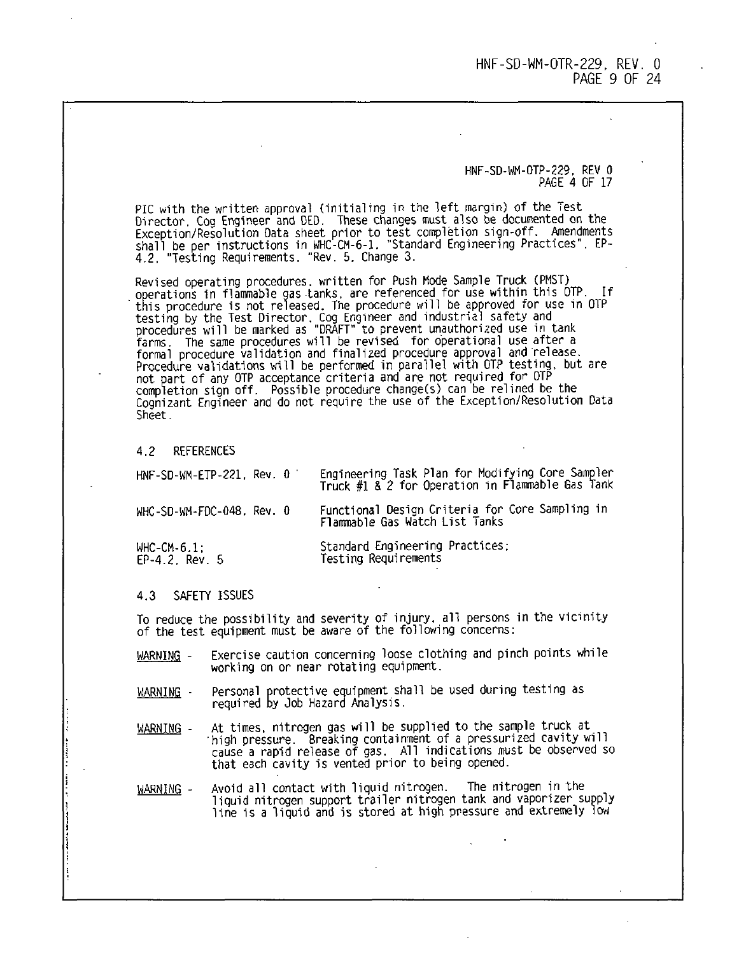#### HNF-SD-WH-OTP-229. REV 0 PAGE 4 OF 17

PIC with the written approval (initialing in the left margin) of the Test Director. Cog Engineer and DED. These changes must also be documented on the Exception/Resolution Data sheet prior to test completion sign-off. Amendments shall be per instructions in WHC-CM-6-1. "Standard Engineering Practices". EP-4.2. "Testing Requirements. "Rev. 5. Change 3.

Revised operating procedures, written for Push Mode Sample Truck tPMST) operations in flammable gas tanks, are referenced for use within this UIP. If<br>this procedure is not released. The procedure will be approved for use in OTP<br>testing by the Test Director. Cog Engineer and industrial safety a farms. The same procedures will be revised for operational use after a formal procedure validation and finalized procedure approval and release. Procedure validations will be performed in parallel with OTP testing, but are not part of any OTP acceptance criteria and are not required for OTP completion sign off. Possible procedure change(s) can be relined be the Cognizant Engineer and do not require the use of the Exception/Resolution Data Sheet.

4.2 REFERENCES

| HNF-SD-WM-ETP-221, Rev. 0     | Engineering Task Plan for Modifying Core Sampler<br>Truck #1 & 2 for Operation in Flammable Gas Tank |
|-------------------------------|------------------------------------------------------------------------------------------------------|
| WHC-SD-WM-FDC-048, Rev. 0     | Functional Design Criteria for Core Sampling in<br>Flammable Gas Watch List Tanks                    |
| WHC-CM-6.1:<br>EP-4.2. Rev. 5 | Standard Engineering Practices:<br>Testing Requirements                                              |

#### 4.3 SAFETY ISSUES

i

To reduce the possibility and severity of injury, all persons in the vicinity of the test equipment must be aware of the following concerns:

- WARNING Exercise caution concerning loose clothing and pinch points while working on or near rotating equipment.
- Personal protective equipment shall be used during testing as WARNING required By Job Hazard Analysis.
- At times, nitrogen gas will be supplied to the sample truck at WARNING high pressure. Breaking containment of a pressurized cavity will cause a rapid release of gas. All indications must be observed so that each cavity is vented prior to being opened.
- Avoid all contact with liquid nitrogen. The nitrogen in the WARNING liquid nitrogen support trailer nitrogen tank and vaporizer supply line is a liquid and is stored at high pressure and extremely low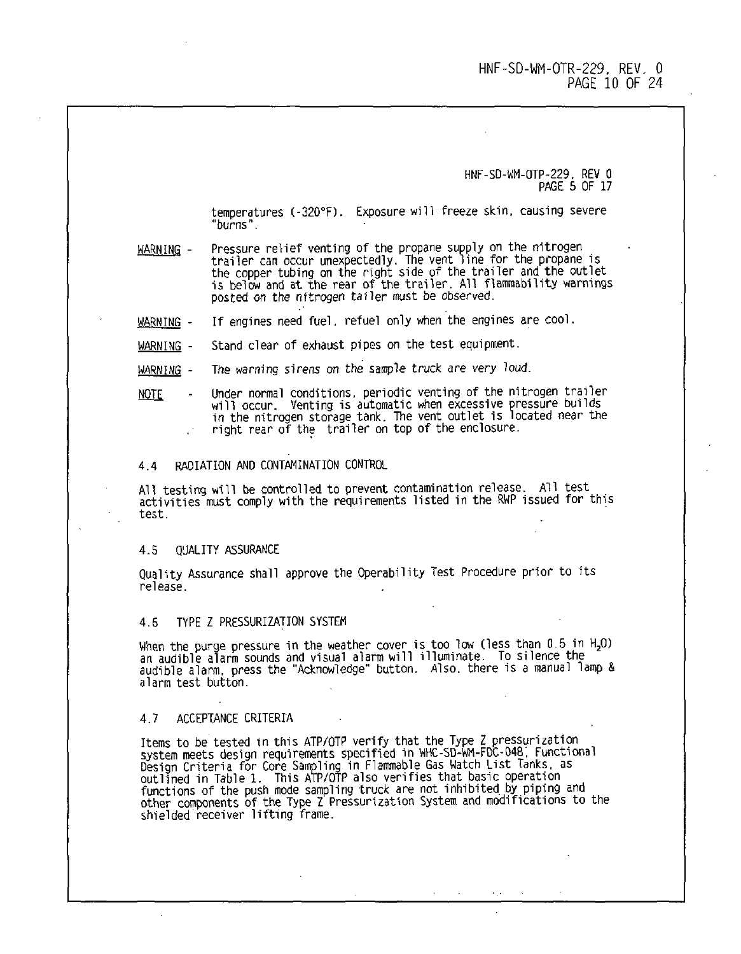HNF-SD-WM-OTP-229. REV 0 PAGE 5 OF 17

temperatures (-320°F). Exposure will freeze skin, causing severe "burns".

WARNING - Pressure relief venting of the propane supply on the nitrogen trailer can occur unexpectedly. The vent line for the propane is the copper tubing on the right side of the trailer and the outlet is below and at the rear of the trailer. All flarmability warnings posted on the nitrogen tailer must be observed.

WARNING - If engines need fuel, refuel only when the engines are cool.

WARNING - Stand clear of exhaust pipes on the test equipment.

WARNING - The warning sirens on the sample truck are very loud.

NOTE - Under normal conditions, periodic venting of the nitrogen trailer will occur. Venting is automatic when excessive pressure builds in the nitrogen storage tank. The vent outlet is located near the right rear of the trailer on top of the enclosure.

#### 4.4 RADIATION AND CONTAMINATION CONTROL

All testing will be controlled to prevent contamination release. All test activities must comply with the requirements listed in the RWP issued for this test.

#### 4.5 QUALITY ASSURANCE

Quality Assurance shall approve the Operability Test Procedure prior to its release.

#### 4.6 TYPE Z PRESSURIZATION SYSTEM

When the purge pressure in the weather cover is too low (less than 0.5 in H<sub>2</sub>O) an audible alarm sounds and visual alarm will illuminate. To silence the audible alarm, press the "Acknowledge" button. Also, there is a manual lamp & alarm test button.

#### 4.7 ACCEPTANCE CRITERIA

Items to be tested in this ATP/OTP verify that the Type Z pressurization system meets design requirements specified in WHC-SD-WM-FDC-048, Functional Design Criteria for Core Sampling in Flammable Gas Watch List Tanks, as outlined in Table 1. This ATP/OTP also verifies that basic operation functions of the push mode sampling truck are not inhibited by piping and other components of the Type Z Pressurization System and modifications to the shielded receiver lifting frame.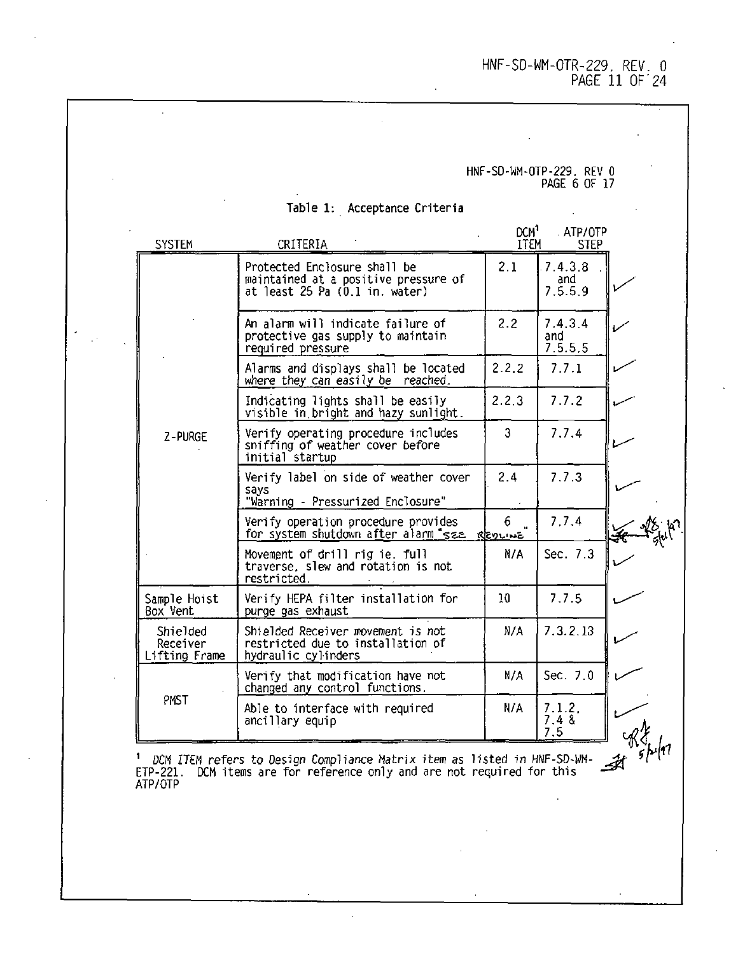HNF-SD-WM-OTR-229 REV 0 PAGE 11 OF 24

# HNF-SD-WM-OTP-229. REV 0 PAGE 6 OF 17

 $\overline{a}$ 

| SYSTEM                                | CRITERIA                                                                                               | DCM <sup>1</sup><br><b>ITEM</b> | ATP/OTP<br>STEP           |  |
|---------------------------------------|--------------------------------------------------------------------------------------------------------|---------------------------------|---------------------------|--|
|                                       | Protected Enclosure shall be<br>maintained at a positive pressure of<br>at least 25 Pa (0.1 in. water) | 2.1                             | 7.4.3.8<br>and<br>7.5.5.9 |  |
|                                       | An alarm will indicate failure of<br>protective gas supply to maintain<br>required pressure            | 2.2                             | 7.4.3.4<br>and<br>7.5.5.5 |  |
|                                       | Alarms and displays shall be located<br>where they can easily be reached.                              | 2.2.2                           | 7.7.1                     |  |
|                                       | Indicating lights shall be easily<br>visible in bright and hazy sunlight.                              | 2.2.3                           | 7.7.2                     |  |
| Z-PURGE                               | Verify operating procedure includes<br>sniffing of weather cover before<br>initial startup             | 3                               | 7.7.4                     |  |
|                                       | Verify label on side of weather cover<br>says<br>"Warning - Pressurized Enclosure"                     | 2.4                             | 7.7.3                     |  |
|                                       | Verify operation procedure provides<br>for system shutdown after alarm see glay wa                     | 6.                              | 7.7.4                     |  |
|                                       | Movement of drill rig ie full<br>traverse, slew and rotation is not<br>restricted.                     | N/A                             | Sec. 7.3                  |  |
| Sample Hoist<br>Box Vent              | Verify HEPA filter installation for<br>purge gas exhaust                                               | 10                              | 7.7.5                     |  |
| Shielded<br>Receiver<br>Lifting Frame | Shielded Receiver movement is not<br>restricted due to installation of<br>hydraulic cylinders          | N/A                             | 7.3.2.13                  |  |
|                                       | Verify that modification have not<br>changed any control functions.                                    | N/A                             | Sec. 7.0                  |  |
| PMST                                  | Able to interface with required<br>ancillary equip                                                     | N/A                             | 7.1.2.<br>7.48<br>7.5     |  |

Table 1: Acceptance Criteria

<sup>1</sup> DCM ITEM refers to Oesign Compliance Matrix item as listed in HNF-SD-WN- Jht ' H ETP-221. DCM items are for reference only and are not required for this -\*" ATP/OTP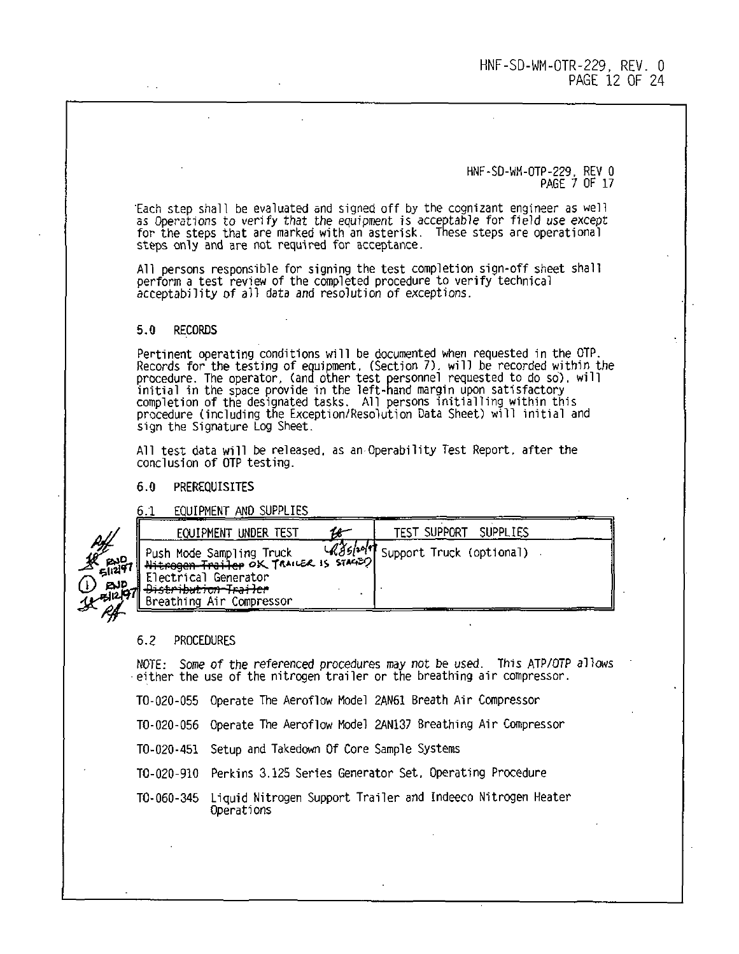HNF-SD-wM-OTP-229. REV 0 PAGE 7 OF 17

'Each step shall be evaluated and signed off by the cognizant engineer as well as Operations to verify that the equipment is acceptable for field use except for the steps that are marked with an asterisk. These steps are operational steps only and are not required for acceptance.

All persons responsible for signing the test completion sign-off sheet shall perform a test review of the completed procedure to verify technical acceptability of all data and resolution of exceptions.

#### 5.0 RECORDS

Pertinent operating conditions will be documented when requested in the OTP. Records for the testing of equipment, (Section 7). will be recorded within the<br>procedure. The operator, (and other test personnel requested to do so), will<br>initial in the space provide in the left-hand margin upon satisfac sign the Signature Log Sheet.

All test data will be released, as an Operability Test Report, after the conclusion of OTP testing.

### 6.0 PREREQUISITES

6.1 EQUIPMENT AND SUPPLIES

| EQUIPMENT UNDER TEST                                                                                                                                                    | <b>SUPPLIES</b><br>TEST SUPPORT    |
|-------------------------------------------------------------------------------------------------------------------------------------------------------------------------|------------------------------------|
| Push Mode Samp]ing Truck    UGB/1917<br>  <del>Nitrogen Trailer</del> OK TranceR is Stace? <br>Electrical Generator<br>Distribution-Trailer<br>Breathing Air Compressor | (86/10/17 Support Truck (optional) |
|                                                                                                                                                                         |                                    |

#### 6.2 PROCEDURES

NOTE: Some of the referenced procedures may not be used. This ATP/OTP allows either the use of the nitrogen trailer or the breathing air compressor.

TO-020-055 Operate The Aeroflow Model 2AN61 Breath Air Compressor

TO-020-056 Operate The Aeroflow Model 2AN137 Breathing Air Compressor

TO-020-451 Setup and Takedown Of Core Sample Systems

TO-020-910 Perkins 3.125 Series Generator Set, Operating Procedure

TO-060-345 Liquid Nitrogen Support Trailer and Indeeco Nitrogen Heater Operations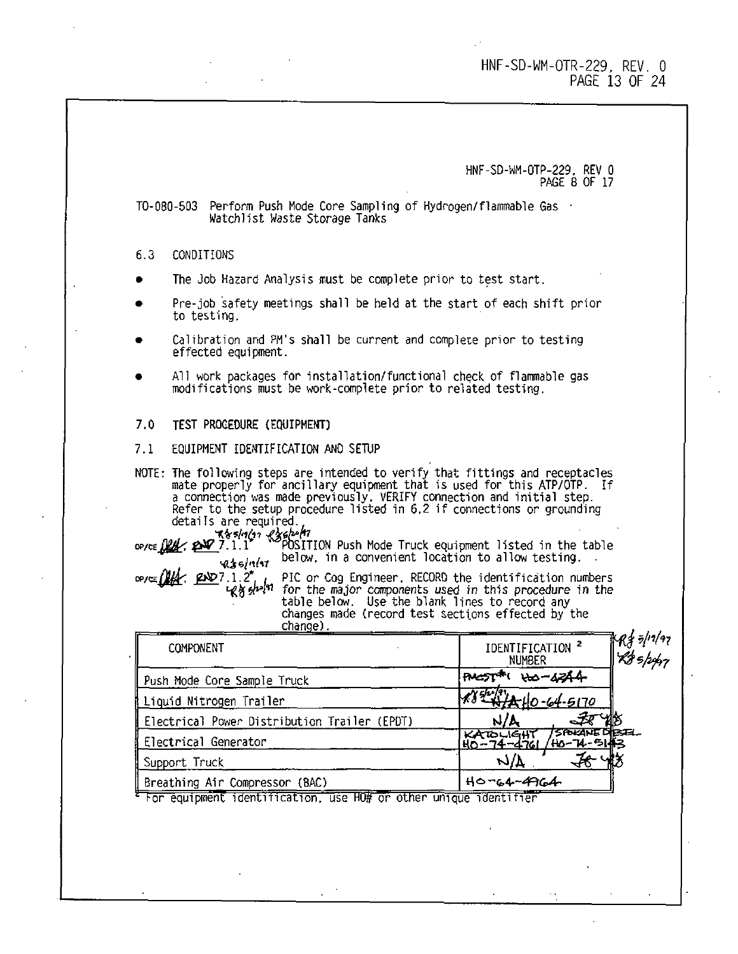### HNF-SD-WM-OTR-229, REV. 0 PAGE 13 OF 24

HNF-SD-WM-OTP-229. REV 0 PAGE 8 OF 17

TO-0 0-503 Perform Push Mode Core Sampling of Hydrogen/flammable Gas Watchlist Waste Storage Tanks

### 6.3 CONDITIONS

- The Job Hazard Analysis must be complete prior to test start.
- Pre-job safety meetings shall be held at the start of each shift prior to testing.
- Calibration and PM's shall be current and complete prior to testing effected equipment.
- All work packages for installation/functional check of flammable gas modifications must be work-complete prior to related testing.
- 7.0 TEST PROCEDURE (EQUIPMENT)

#### 7.1 EQUIPMENT IDENTIFICATION AND SETUP

NOTE: The following steps are intended to verify that fittings and receptacles mate properly for ancillary equipment that is used for this ATP/OTP. If a connection was made previously. VERIFY connection and initial step. Refer to the setup procedure listed in 6.2 if connections or grounding details are required

 $\mathbb{Z}[i,1]$ <sup>\*</sup>  $\mathbb{Z}[i]$   $\mathbb{Z}[i]$  . Position Push Mode Truck equipment listed in the table below, in a convenient location to allow testing.  $435/111$ 

£1\*7.1.2\*. PIC or Cog Engineer. RECORD the identification numbers for the major components used in this procedure in the table below. Use the blank lines to record any changes made (record test sections effected by the change).

| COMPONENT                                                        | $\mathbb{R}$ f z/11/97<br>IDENTIFICATION <sup>2</sup><br>R85/pp7<br>NUMBER |
|------------------------------------------------------------------|----------------------------------------------------------------------------|
| Push Mode Core Sample Truck                                      | <del>w</del> -1244<br><b>RACCT</b>                                         |
| Liquid Nitrogen Trailer                                          | $32440 - 64 - 5170$                                                        |
| Electrical Power Distribution Trailer (EPDT)                     | N/L                                                                        |
| Electrical Generator                                             | 75POKANEDIESEL<br>/HO-74-5143<br>KATOLIGHT                                 |
| Support Truck                                                    | n)V                                                                        |
| Breathing Air Compressor (BAC)                                   | $H0 - 64 - 4964$                                                           |
| For equipment identification, use HO# or other unique identifier |                                                                            |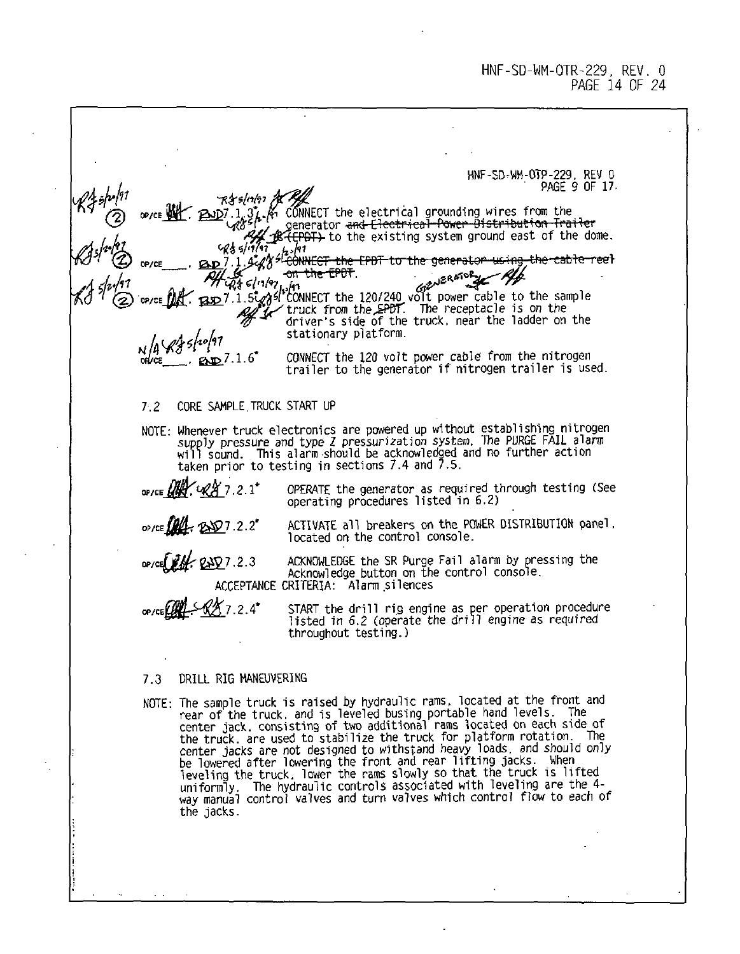HNF-SD.WM-OTP-229. REV 0 PAGE 9 OF 17. ONNECT the electrical grounding wires from the generator and Clectrical Power Distribution Trailer to the existing system ground east of the dome. h. 191 \* <del>CONNECT the LPDT to the generator using</del>  $\overline{\text{the}}$   $\overline{\text{e}}$   $\overline{\text{en}}$  . فلمحر  $\vec{p}_3$   $\in$   $( \cdot \, )$   $\cdot \cdot$   $\cdot$  $RSD7.1.5$  $\sqrt{5}$  Si<sup>t</sup>CONNECT the 120/240 volt power cable to the same  $\frac{1}{2}$  truck from the EPDT. The receptacle is on the :ONNECT the 120/240 volt power cable to the sample driver's side of the truck, near the ladder on the stationary platform. Itz ™ ~'&fc7.1.6\* CONNECT the 120 volt power cable from the nitrogen ' trailer to the generator if nitrogen trailer is used. 7.2 CORE SAMPLE,TRUCK START UP NOTE: Whenever truck electronics are powered up without establishing nitrogen supply pressure and type Z pressurization system. The PURGE FAIL alarm will sound. This alarm should be acknowledged and no further action taken prior to testing in sections 7.4 and 7.5.  $\mathscr{A}$  7.2.1\* OPERATE the generator as required through testing (See operating procedures listed in 6.2) 7.2.2\* ACTIVATE all breakers on the POWER DISTRIBUTION panel, located on the control console. 7.2.3 ACKNOWLEDGE the SR Purge Fail alarm by pressing the Acknowledge button on the control console. ACCEPTANCE CRITERIA: Alarm silences 7 2.4\* START the drill rig engine as per operation procedure listed in 6.2 (operate the drill engine as required throughout testing.) 7.3 DRILL RIG MANEUVERING NOTE- The sample truck is raised by hydraulic rams, located at the front and rear of the truck, and is leveled busing portable hand levels. The center jack, consisting of two additional rams located on each side of the truck, are used to stabilize the truck for platform rotation. The center jacks are not designed to withstand heavy loads, and should only

be lowered after lowering the front and rear lifting jacks. When leveling the truck, lower the rams slowly so that the truck is lifted uniformly. The hydraulic controls associated with leveling are the 4 way manual control valves and turn valves which control flow to each of the jacks.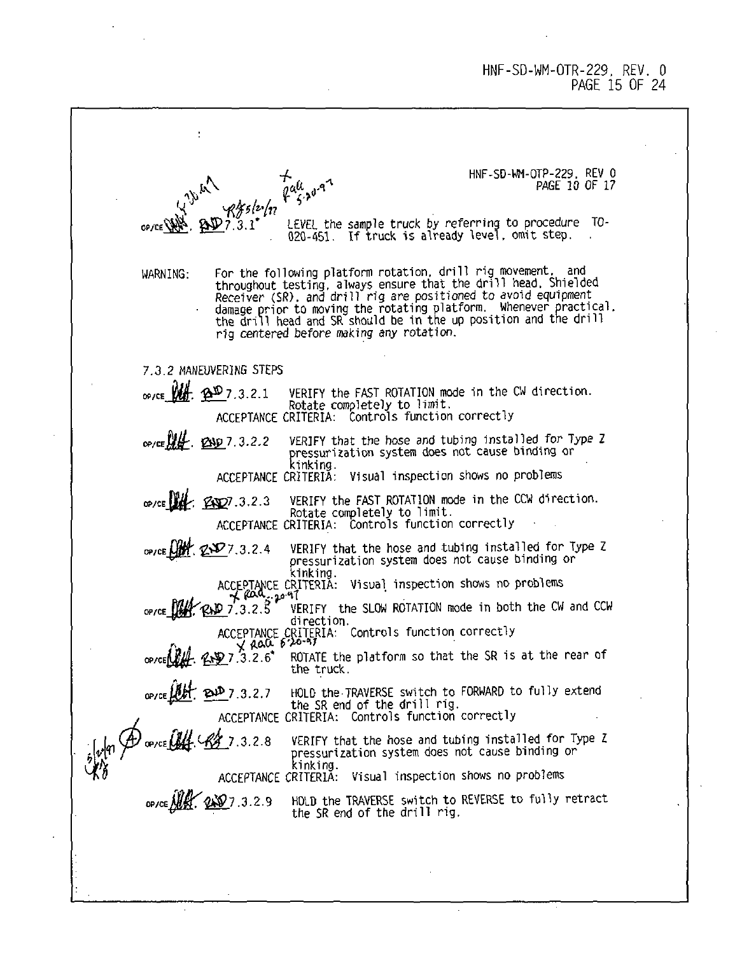### HNF-SD- M-OTR-229, REV. 0 PAGE 15 OF 24

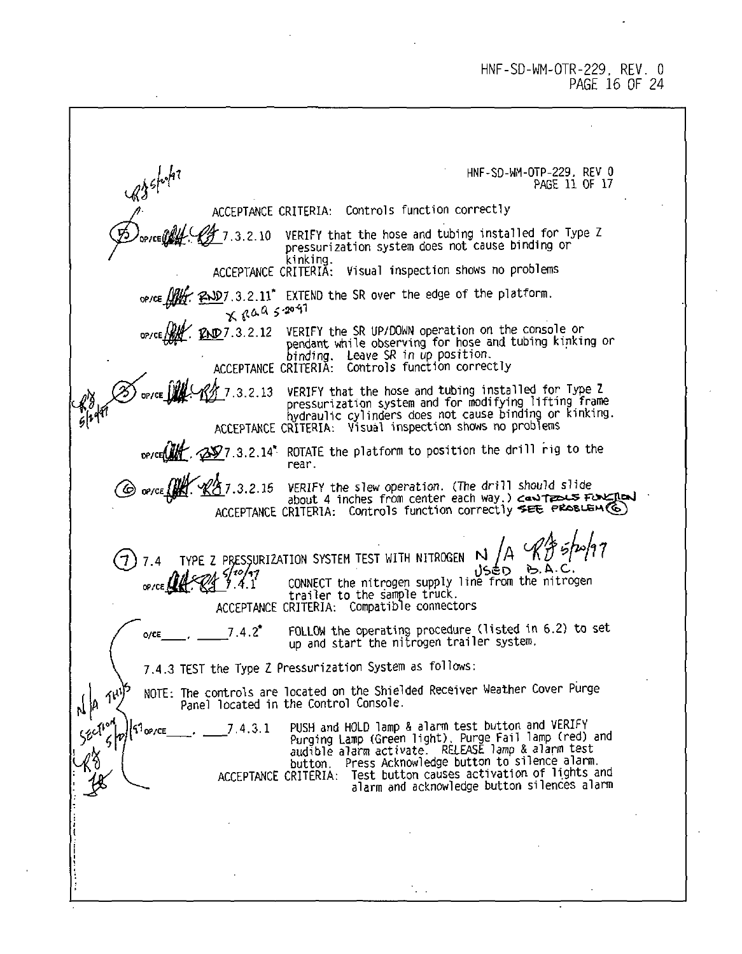HNF-SD-WM-OTR-229, REV. 0 PAGE 16 OF 24

upshohn HNF-SD-WM-OTP-229. REV 0 PAGE 11 OF 17 ACCEPTANCE CRITERIA: Controls function correctly 3 2 10 VERIFY that the hose and tubing installed for Type Z pressurization system does not cause binding or kinking. ACCEPTANCE CRITERIA: Visual inspection shows no problems op/ce  $\iiint_{X}$   $\infty$   $\infty$  7.3.2.11<sup>\*</sup> EXTEND the SR over the edge of the platform. END 7.3.2.12 VERIFY the SR UP/DOWN operation on the console or pendant while observing for hose and tubing kinking or binding. Leave SR in up position. ACCEPTANCE CRITERIA: Controls function correctly 7.3.2.13 VERIFY that the hose and tubing installed for Type Z pressurization system and for modifying lifting frame hydraulic cylinders does not cause binding or kinking. ACCEPTANCE CRITERIA: Visual inspection shows no problems -0^7.3,2.14' ROTATE the platform to position the drill rig to the rear. "<u>K^5</u> 7.3.2.15 VERIFY the slew operation. (The drill should slide<br>AccerTANCE Chill about 4 inches from center each way.) c<del>and TP=></del><br>ACCEPTANCE CRITERIA: Controls function correctly **≉EE PROSLE**  $(7)$  7.4 TYPE Z PRESSURIZATION SYSTEM TEST WITH NITROGEN  $\dot{N}$ ປ≲€ວ\_  $A.A.C$ CONNECT the nitrogen supply line from the nitrogen 4 1 • • trailer to the sample truck. ACCEPTANCE CRITERIA: Compatible connectors o/ce\_\_\_\_\_, \_\_\_\_\_\_7.4.2\* FOLLOW the operating procedure (listed in 6.2) to set<br>up and start the nitrogen trailer system. 7.4.3 TEST the Type Z Pressurization System as follows: NOTE: The controls are located on the Shielded Receiver Weather Cover Purge ,{ }a Panel located in the Control Console. op/ce 2. 2. 2. 4.3.1 PUSH and HOLD lamp & alarm test button and verkiring (Press, 2. 2. 2. 2. 2. 2. 2. 2. 2. 2<br>Purging Lamp (Green light). Purge Fail lamp (red) and<br>audion. Press Acknowledge button to silence alarm. ACCEPTANCE CRITERIA: Test button causes activation of lights and alarm and acknowledge button silences alarm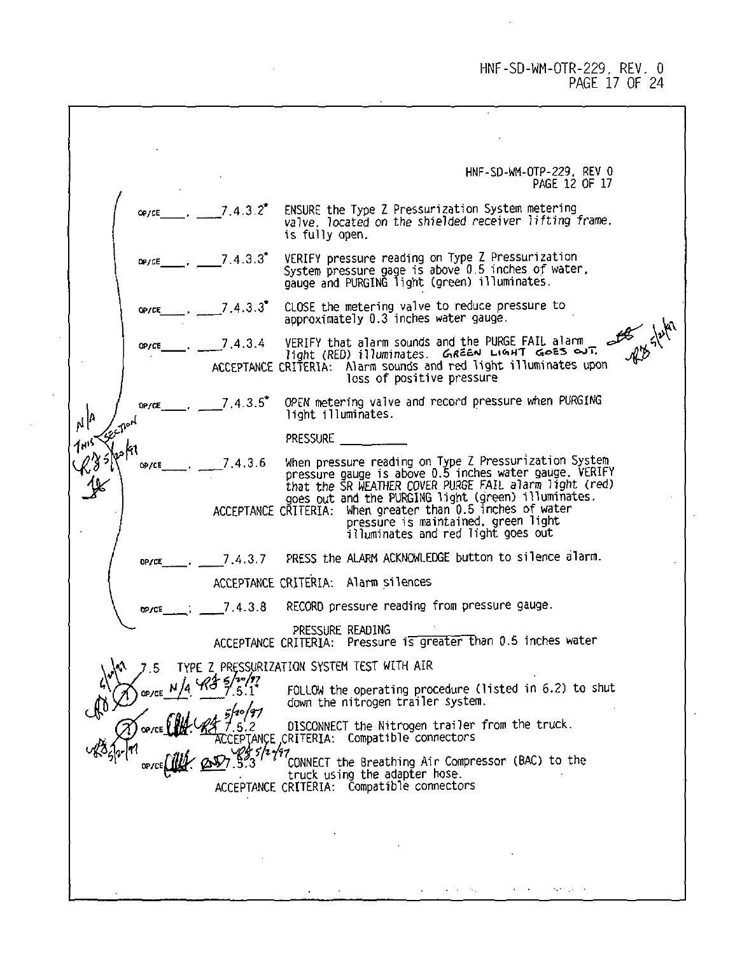HNF-SD-WM-OTR-229, REV. 0 PAGE 17 OF 24

HNF-SD-WM-OTP-229. REV 0 PAGE 12 OF 17 7 4 3 2\* ENSURE the Type Z Pressurization System metering OD / CF valve, located on the shielded receiver lifting frame. is fully open. 7.4.3.3\* VERIFY pressure reading on Type Z Pressurization OP7CE System pressure gage is above 0.5 inches of water, gauge and PURGING light (green) illuminates. OP/CE 7.4.3.3\* CLOSE the metering valve to reduce pressure to approximately 0.3 inches water gauge. W Slutar 7.4.3.4 VERIFY that alarm sounds and the PURGE FAIL alarm OP/CE  $\lim_{x\to a}$  illuminates.  $\lim_{x\to a}$  U. UGHT GOES OUT. ACCEPTANCE CRITERIA: Alarm sounds and red light illuminates upon loss of positive pressure 7 4 3 5\* OPEN metering valve and record pressure when PURGING 0P/C مإيم light illuminates. **PRESSURE** 7 4 3 6 When pressure reading on Type Z Pressurization System ' pressure gauge is above 0.5 inches water gauge. VERIFY OP/CE that the SR WEATHER COVER PURGE FAIL alarm light (red) goes out and the PURGING light (green) illuminates.<br>ACCEPTANCE CRITERIA: When greater than 0.5 inches of water<br>pressure is maintained, green light<br>iluminates and red light goes out 7.4.3.7 PRESS the ALARM ACKNOWLEDGE button to silence alarm. OP/CE ACCEPTANCE CRITERIA: Alarm silences 7.4.3.8 RECORD pressure reading from pressure gauge. ho /r/F PRESSURE READING ACCEPTANCE CRITERIA: Pressure is greater than 0.5 inches water Z PRESSURIZATION SYSTEM TEST WITH AIR FOLLOW the operating procedure (listed in 6.2) to shut down the nitrogen trailer system. I.S• 2 DISCONNECT the Nitrogen trailer from the truck. CEPTANCE .CRITERIA: Compatible connectors <sup>7</sup>C0NNECT the Breathing Air Compressor (BAC) to the l'truck using the adapter hose. ACCEPTANCE CRITERIA: Compatible connectors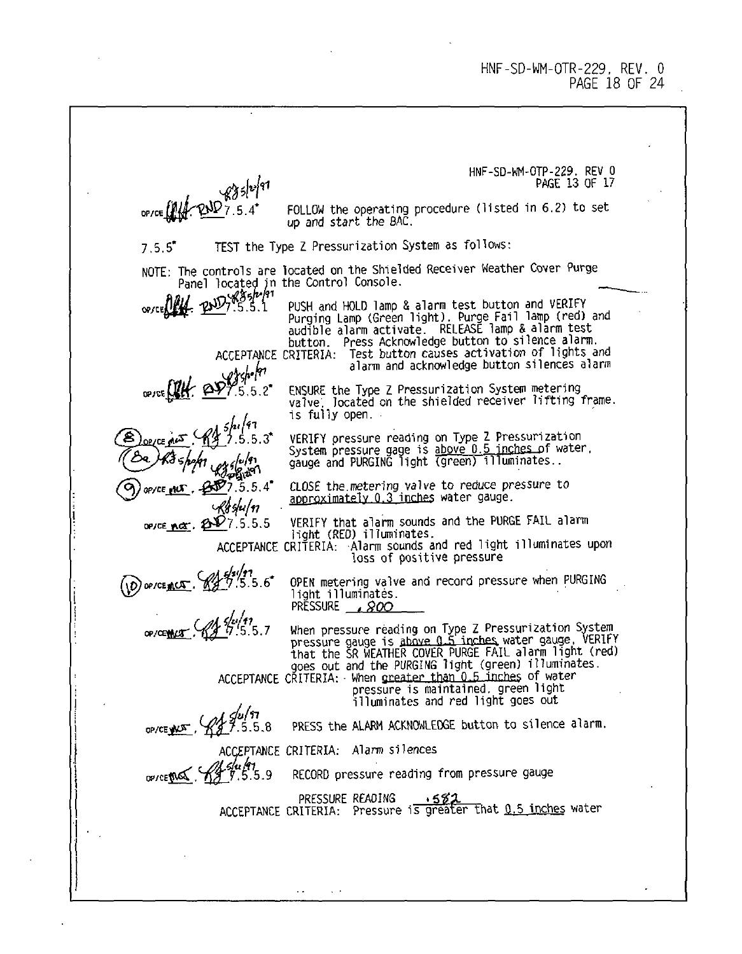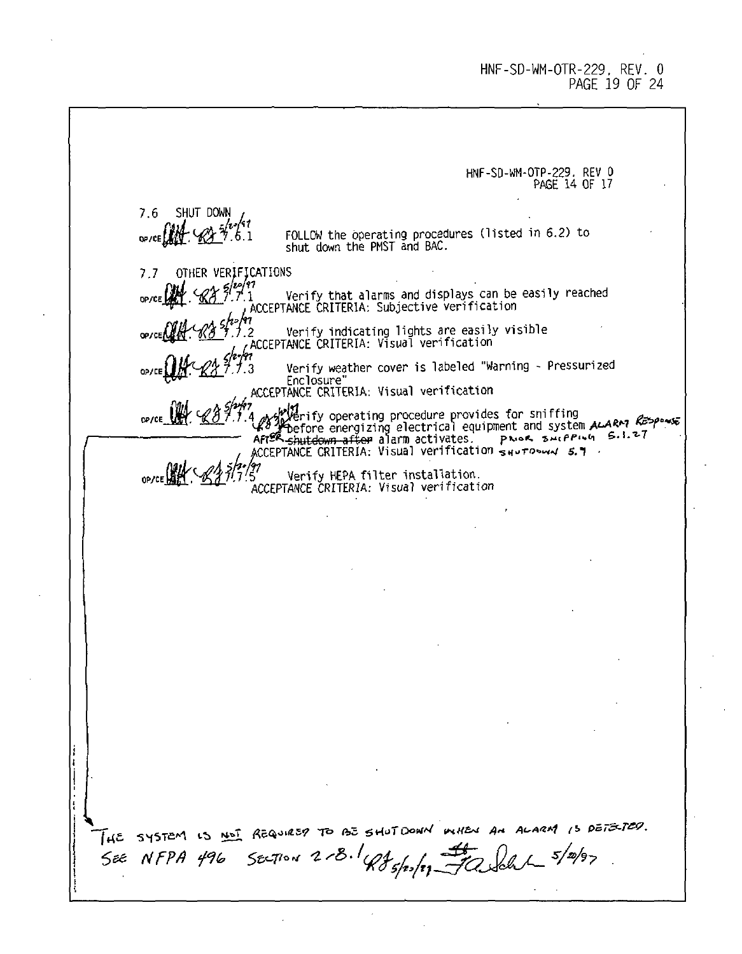### HNF-SD-WM-OTR-229, REV. 0 PAGE 19 OF 24

HNF-SD-WM-OTP-229. REV 0 PAGE 14 OF 17 7.6 SHUT DOWN FOLLOW the operating procedures (listed in 6.2) to shut down the PMST and BAC. 7.7 OTHER VERIFICATIONS ,'7J \ Verify that alarms and displays can be easily reached ^ACCEPTANCE CRITERIA: Subjective verification \lj.2 Verify indicating lights are easily visible ~~ /ACCEPTANCE CRITERIA: Visual verification Verify weather cover is labeled "Warning - Pressurized Enclosure" ACCEPTANCE CRITERIA: Visual verification <sub>ለአ</sub>ყረገበያ operating procedure provides tor snifting<br><sup>19</sup> የ before energizing electrical equipment and system ALARM <sup>6</sup><br>የርጅቦ Shutdown after alarm activates. Proses sererus S.L.፣<br>CEPTANCE CRITERIA: Visual verification saur 5' Verify HEPA tilter installation.<br>ACCEPTANCE CRITERIA: Visual verification HE SYSTEM IS ME REQUIRED TO BE SHUT DOWN WHEN AN ALARM IS DETECTED.  $3/2/3$ SEE NFPA 496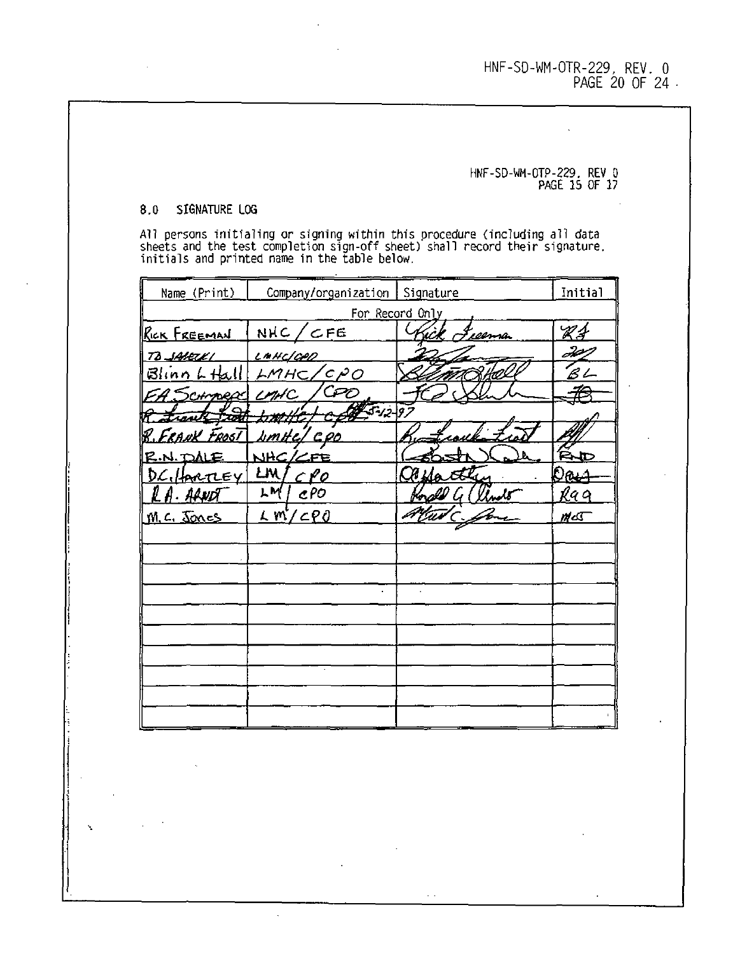HNF-SD-WM-OTR-229, REV. 0 PAGE 20 OF 24

# HNF-SD-WM-OTP-229. REV 0 PAGE 15 OF 17

### 8.0 SIGNATURE LOG

All persons initialing or signing within this procedure (including all data<br>sheets and the test completion sign-off sheet) shall record their signature,<br>initials and printed name in the table below.

| Name_(Print)        | Company/organization Signature |                 | Initial |
|---------------------|--------------------------------|-----------------|---------|
|                     |                                | For Record Only |         |
| <u>RICK FREEMAN</u> | NHC/CFE                        | 'eeema          | V 1     |
| TO SAVELKI          | <u>LAHC/CPD</u>                |                 | ð 2     |
| $B$ linn $L$ Hall   | /cpo<br>LMHC/                  |                 | 'B l    |
| 4. SCHMARAC         | C Pr<br>LMHC                   |                 |         |
|                     | $5 - 12 - 9$                   |                 |         |
| RANK FROSI          | bmHc/ COO                      |                 |         |
| R.N. DALE           | NHC/<br>∠re                    |                 | ₽₩      |
| <u>DC./IARTLEY</u>  | LM,<br>c Lo                    |                 | Оеш     |
| AAND                | μM<br>cPO                      |                 | ka q    |
| M.C. Jones          | $L$ m/cp0                      |                 | ⊭∝      |
|                     |                                |                 |         |
|                     |                                |                 |         |
|                     |                                |                 |         |
|                     |                                |                 |         |
|                     |                                |                 |         |
|                     |                                |                 |         |
|                     |                                |                 |         |
|                     |                                |                 |         |
|                     |                                |                 |         |
|                     |                                |                 |         |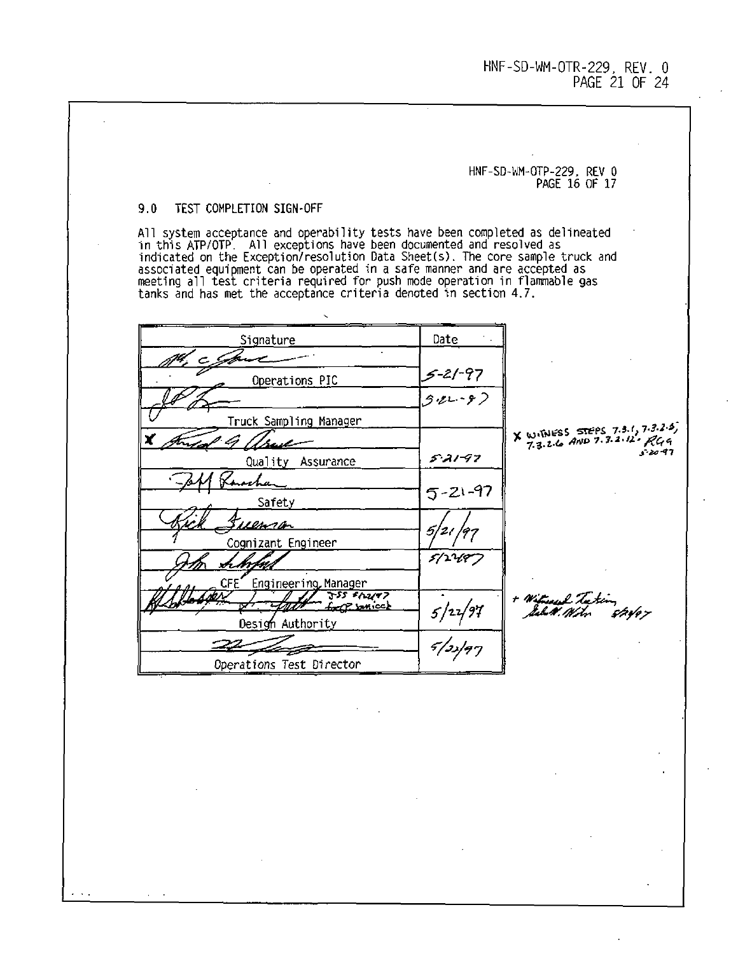HNF-SD-U 1-0TR-229, REV. 0 PAGE 21 OF 24

# HNF-SD-WM-OTP-229. REV 0 PAGE 16 OF 17

## 9.0 TEST COMPLETION SIGN-OFF

All system acceptance and operability tests have been completed as delineated<br>in this ATP/OTP. All exceptions have been documented and resolved as<br>indicated on the Exception/resolution Data Sheet(s). The core sample truck associated equipment can be operated in a safe manner and are accepted as<br>meeting all test criteria required for push mode operation in flammable gas<br>tanks and has met the acceptance criteria denoted in section 4.7.

| Signature                                       | Date                           |                                                              |
|-------------------------------------------------|--------------------------------|--------------------------------------------------------------|
|                                                 |                                |                                                              |
| Operations PIC                                  | $5 - 21 - 97$<br>$3 - 21 - 97$ |                                                              |
|                                                 |                                |                                                              |
| Truck Sampling Manager                          |                                |                                                              |
|                                                 |                                | X WITNESS STEPS 7.3.1, 7.3.2.5,<br>7.3.2.6 AND 7.3.2.12. RGG |
| Quality Assurance                               | $5.21 - 97$                    | $-20 - 97$                                                   |
|                                                 |                                |                                                              |
| Safety                                          | $5 - 21 - 97$                  |                                                              |
| ien sa                                          |                                |                                                              |
| Cognizant Engineer                              |                                |                                                              |
|                                                 | 5/2497                         |                                                              |
| CFE.<br>Engineering Manager                     |                                |                                                              |
| 355 \$12177<br>$f_{\text{corr}}(2.200, \infty)$ |                                | + Witness Latin                                              |
| Design Authority                                | $5/2\sqrt{97}$                 |                                                              |
|                                                 | $\frac{1}{5/3/97}$             |                                                              |
| Operations Test Director                        |                                |                                                              |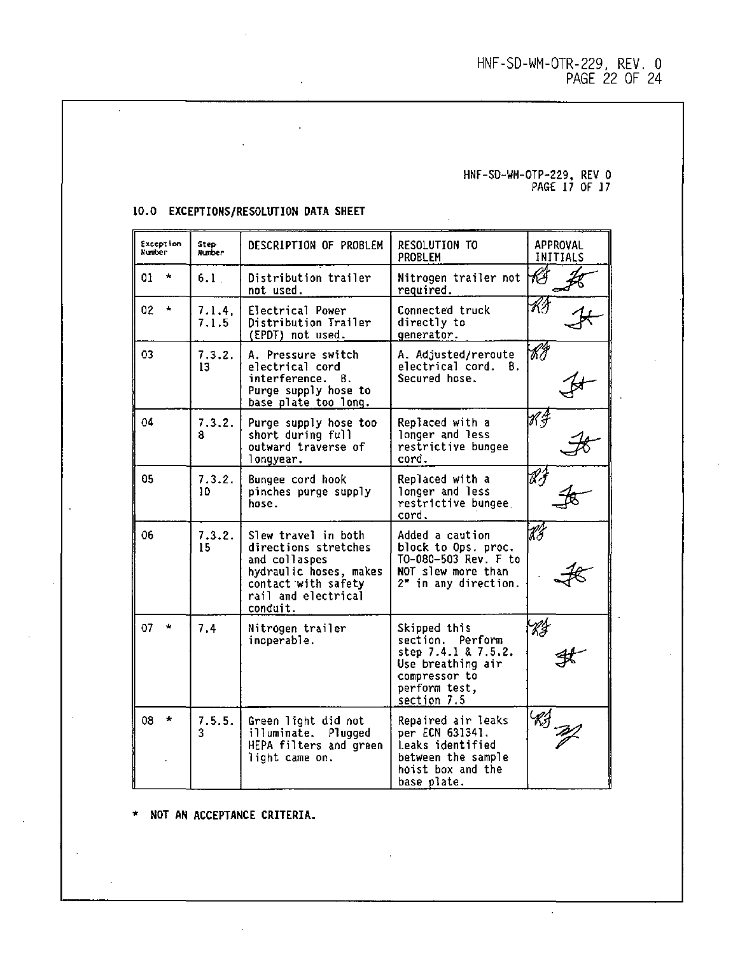## HNF-SD-WM-OTR-229, REV. 0 PAGE 22 OF 24

# HNF-SD-WH-OTP-229, REV 0 PAGE 17 OF 17

 $\mathbf{r}$ 

| Exception<br>Number | Step<br>Hurber  | DESCRIPTION OF PROBLEM                                                                                                                           | RESOLUTION TO<br>PROBLEM                                                                                                      | APPROVAL<br>INITIALS |
|---------------------|-----------------|--------------------------------------------------------------------------------------------------------------------------------------------------|-------------------------------------------------------------------------------------------------------------------------------|----------------------|
| $\star$<br>01       | $6.1$ .         | Distribution trailer<br>not used.                                                                                                                | Nitrogen trailer not<br>required.                                                                                             | łÎ                   |
| 02 <sub>2</sub>     | 7.1.4.<br>7.1.5 | Electrical Power<br>Distribution Trailer<br>(EPDT) not used.                                                                                     | Connected truck<br>directly to<br>generator.                                                                                  | KЛ                   |
| 03                  | 7.3.2.<br>13    | A. Pressure switch<br>electrical cord<br>interference.<br>В.<br>Purge supply hose to<br>base plate too long.                                     | A. Adjusted/reroute<br>electrical cord. B.<br>Secured hose.                                                                   | H,                   |
| 04                  | 7.3.2.<br>я     | Purge supply hose too<br>short during full<br>outward traverse of<br>lonqyear.                                                                   | Replaced with a<br>longer and less<br>restrictive bungee<br>cord.                                                             | H.                   |
| 05                  | 7.3.2.<br>10    | Bungee cord hook<br>pinches purge supply<br>hose.                                                                                                | Replaced with a<br>longer and less<br>restrictive bungee.<br>cord.                                                            | ЮĴ                   |
| 06                  | 7.3.2.<br>15    | Slew travel in both<br>directions stretches<br>and collaspes<br>hydraulic hoses, makes<br>contact with safety<br>rail and electrical<br>conduit. | Added a caution<br>block to Ops. proc.<br>TO-080-503 Rev. F to<br>NOT slew more than<br>2" in any direction.                  | КÎ                   |
| 07<br>$\star$       | 7.4             | Nitrogen trailer<br>inoperable.                                                                                                                  | Skipped this<br>section. Perform<br>step 7.4.1 & 7.5.2.<br>Use breathing air<br>compressor to<br>perform test.<br>section 7.5 | Кg                   |
| 08<br>$\star$       | 7.5.5.<br>3     | Green light did not<br>Plugged<br>illuminate.<br>HEPA filters and green<br>light came on.                                                        | Repaired air leaks<br>per ECN 631341.<br>Leaks identified<br>between the sample<br>hoist box and the<br>base plate.           |                      |

 $\ddot{\phantom{a}}$ 

## **10.0 EXCEPTIONS/RESOLUTION DATA SHEET**

 $\hat{\mathbf{r}}$ 

 $\sim 10^{11}$ 

÷.

\* **NOT AN ACCEPTANCE CRITERIA.**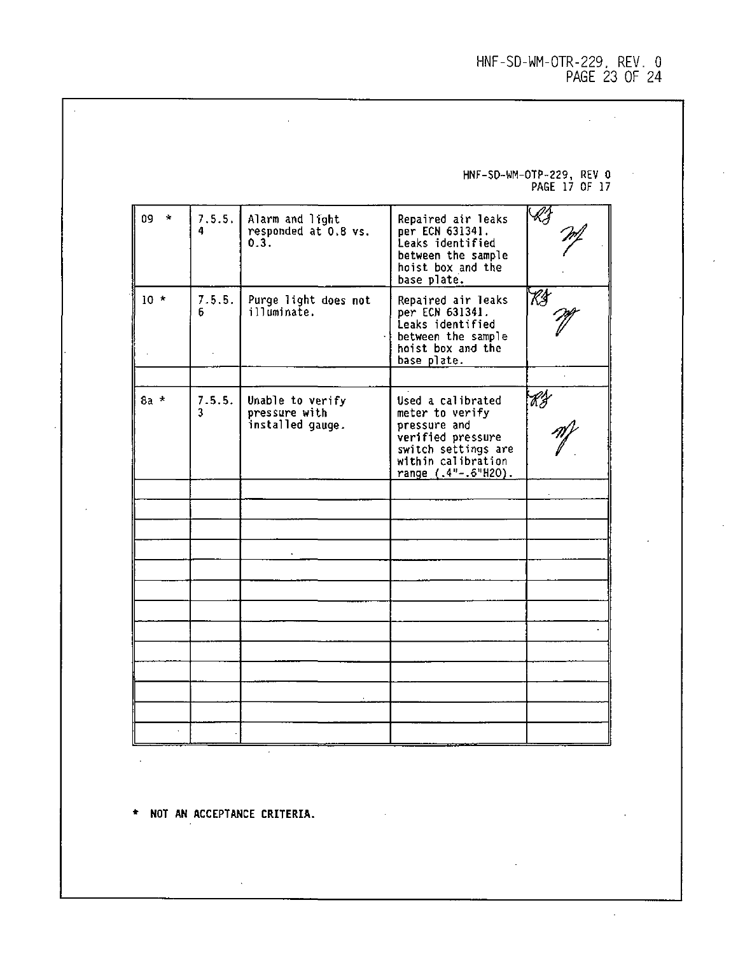HNF-SD-WM-OTR-229, REV. 0 PAGE 23 OF 24

 $\mathcal{L}_{\text{max}}$  and  $\mathcal{L}_{\text{max}}$  . We set

HNF-SD-WM-OTP-229, REV 0 PAGE 17 OF 17

÷.

 $\hat{\mathcal{L}}$ 

| $09 \times$ | 7.5.5.<br>4 | Alarm and light<br>responded at 0.8 vs.<br>0.3.       | Repaired air leaks<br>per ECN 631341.<br>Leaks identified<br>between the sample<br>hoist box and the<br>base plate.                           |    |
|-------------|-------------|-------------------------------------------------------|-----------------------------------------------------------------------------------------------------------------------------------------------|----|
| $10 *$      | 7.5.5.<br>6 | Purge light does not<br>illuminate.                   | Repaired air leaks<br>per ECN 631341.<br>Leaks identified<br>between the sample<br>hoist box and the<br>base plate.                           | Kŝ |
| $8a *$      | 7.5.5.<br>3 | Unable to verify<br>pressure with<br>installed gauge. | Used a calibrated<br>meter to verify<br>pressure and<br>verified pressure<br>switch settings are<br>within calibration<br>range (.4"-.6"H2O). | Kg |
|             |             |                                                       |                                                                                                                                               |    |
|             |             |                                                       |                                                                                                                                               |    |
|             |             |                                                       |                                                                                                                                               |    |

 $\hat{\mathbf{r}}$ 

**\* NOT AN ACCEPTANCE CRITERIA.**

 $\sim 10^{-11}$ 

 $\mathcal{L}^{\pm}$